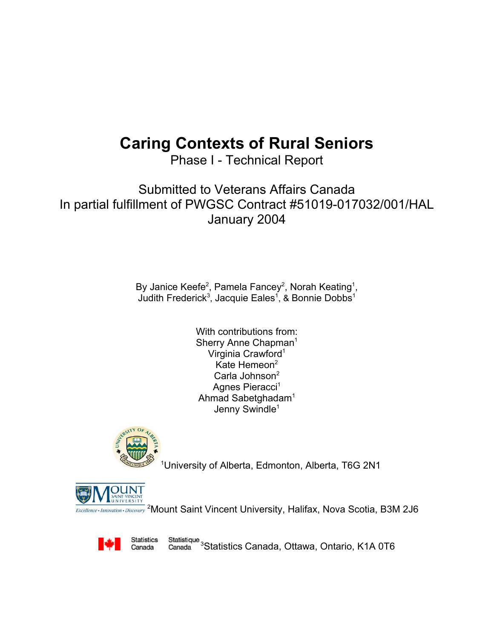# **Caring Contexts of Rural Seniors**

Phase I - Technical Report

Submitted to Veterans Affairs Canada In partial fulfillment of PWGSC Contract #51019-017032/001/HAL January 2004

> By Janice Keefe<sup>2</sup>, Pamela Fancey<sup>2</sup>, Norah Keating<sup>1</sup>, Judith Frederick<sup>3</sup>, Jacquie Eales<sup>1</sup>, & Bonnie Dobbs<sup>1</sup>

> > With contributions from: Sherry Anne Chapman<sup>1</sup> Virginia Crawford<sup>1</sup> Kate Hemeon<sup>2</sup> Carla Johnson<sup>2</sup> Agnes Pieracci<sup>1</sup> Ahmad Sabetghadam1 Jenny Swindle<sup>1</sup>



1 University of Alberta, Edmonton, Alberta, T6G 2N1



<sup>2</sup> Mount Saint Vincent University, Halifax, Nova Scotia, B3M 2J6

Statistics Canada

Statistique 3<br>Statistics Canada, Ottawa, Ontario, K1A 0T6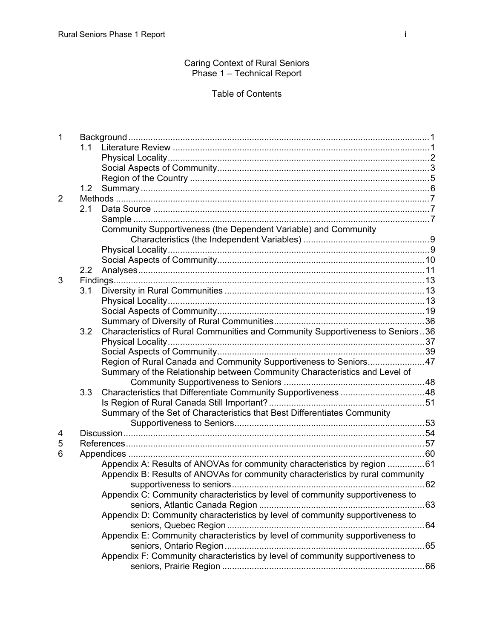Caring Context of Rural Seniors Phase 1 – Technical Report

# Table of Contents

| 1              |     |                                                                                |  |  |
|----------------|-----|--------------------------------------------------------------------------------|--|--|
|                | 11  |                                                                                |  |  |
|                |     |                                                                                |  |  |
|                |     |                                                                                |  |  |
|                |     |                                                                                |  |  |
|                | 1.2 |                                                                                |  |  |
| $\overline{2}$ |     |                                                                                |  |  |
|                | 2.1 |                                                                                |  |  |
|                |     |                                                                                |  |  |
|                |     | Community Supportiveness (the Dependent Variable) and Community                |  |  |
|                |     |                                                                                |  |  |
|                |     |                                                                                |  |  |
|                |     |                                                                                |  |  |
|                | 2.2 |                                                                                |  |  |
| 3              |     |                                                                                |  |  |
|                | 3.1 |                                                                                |  |  |
|                |     |                                                                                |  |  |
|                |     |                                                                                |  |  |
|                |     |                                                                                |  |  |
|                | 3.2 | Characteristics of Rural Communities and Community Supportiveness to Seniors36 |  |  |
|                |     |                                                                                |  |  |
|                |     |                                                                                |  |  |
|                |     | Region of Rural Canada and Community Supportiveness to Seniors47               |  |  |
|                |     | Summary of the Relationship between Community Characteristics and Level of     |  |  |
|                |     |                                                                                |  |  |
|                | 3.3 |                                                                                |  |  |
|                |     |                                                                                |  |  |
|                |     | Summary of the Set of Characteristics that Best Differentiates Community       |  |  |
|                |     |                                                                                |  |  |
| 4              |     |                                                                                |  |  |
| 5              |     |                                                                                |  |  |
| 6              |     |                                                                                |  |  |
|                |     | Appendix A: Results of ANOVAs for community characteristics by region 61       |  |  |
|                |     | Appendix B: Results of ANOVAs for community characteristics by rural community |  |  |
|                |     |                                                                                |  |  |
|                |     | Appendix C: Community characteristics by level of community supportiveness to  |  |  |
|                |     |                                                                                |  |  |
|                |     | Appendix D: Community characteristics by level of community supportiveness to  |  |  |
|                |     |                                                                                |  |  |
|                |     | Appendix E: Community characteristics by level of community supportiveness to  |  |  |
|                |     |                                                                                |  |  |
|                |     | Appendix F: Community characteristics by level of community supportiveness to  |  |  |
|                |     |                                                                                |  |  |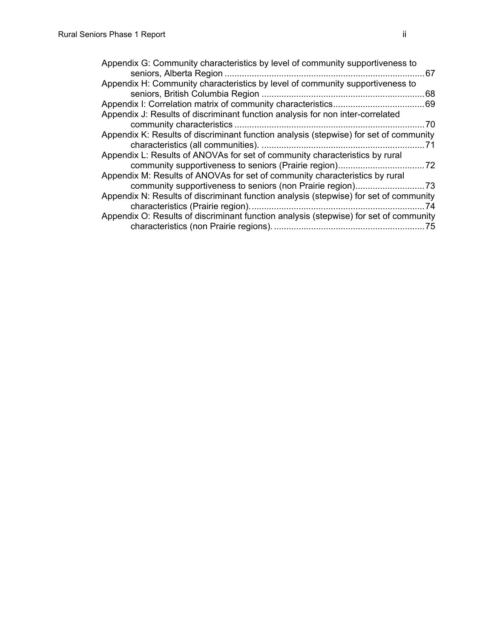| Appendix G: Community characteristics by level of community supportiveness to         | 67  |
|---------------------------------------------------------------------------------------|-----|
| Appendix H: Community characteristics by level of community supportiveness to         | .68 |
|                                                                                       |     |
| Appendix J: Results of discriminant function analysis for non inter-correlated        | 70  |
| Appendix K: Results of discriminant function analysis (stepwise) for set of community |     |
|                                                                                       |     |
| Appendix L: Results of ANOVAs for set of community characteristics by rural           |     |
| Appendix M: Results of ANOVAs for set of community characteristics by rural           |     |
|                                                                                       |     |
| Appendix N: Results of discriminant function analysis (stepwise) for set of community | 74  |
| Appendix O: Results of discriminant function analysis (stepwise) for set of community |     |
|                                                                                       | .75 |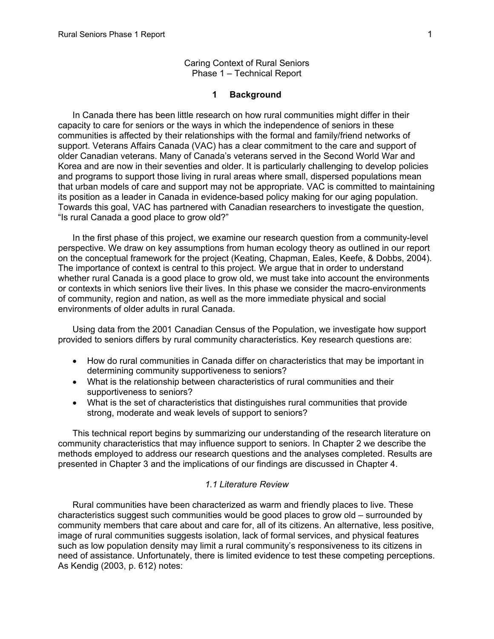#### **1 Background**

<span id="page-3-0"></span>In Canada there has been little research on how rural communities might differ in their capacity to care for seniors or the ways in which the independence of seniors in these communities is affected by their relationships with the formal and family/friend networks of support. Veterans Affairs Canada (VAC) has a clear commitment to the care and support of older Canadian veterans. Many of Canada's veterans served in the Second World War and Korea and are now in their seventies and older. It is particularly challenging to develop policies and programs to support those living in rural areas where small, dispersed populations mean that urban models of care and support may not be appropriate. VAC is committed to maintaining its position as a leader in Canada in evidence-based policy making for our aging population. Towards this goal, VAC has partnered with Canadian researchers to investigate the question, "Is rural Canada a good place to grow old?"

In the first phase of this project, we examine our research question from a community-level perspective. We draw on key assumptions from human ecology theory as outlined in our report on the conceptual framework for the project (Keating, Chapman, Eales, Keefe, & Dobbs, 2004). The importance of context is central to this project. We argue that in order to understand whether rural Canada is a good place to grow old, we must take into account the environments or contexts in which seniors live their lives. In this phase we consider the macro-environments of community, region and nation, as well as the more immediate physical and social environments of older adults in rural Canada.

Using data from the 2001 Canadian Census of the Population, we investigate how support provided to seniors differs by rural community characteristics. Key research questions are:

- How do rural communities in Canada differ on characteristics that may be important in determining community supportiveness to seniors?
- What is the relationship between characteristics of rural communities and their supportiveness to seniors?
- What is the set of characteristics that distinguishes rural communities that provide strong, moderate and weak levels of support to seniors?

This technical report begins by summarizing our understanding of the research literature on community characteristics that may influence support to seniors. In Chapter 2 we describe the methods employed to address our research questions and the analyses completed. Results are presented in Chapter 3 and the implications of our findings are discussed in Chapter 4.

#### *1.1 Literature Review*

Rural communities have been characterized as warm and friendly places to live. These characteristics suggest such communities would be good places to grow old – surrounded by community members that care about and care for, all of its citizens. An alternative, less positive, image of rural communities suggests isolation, lack of formal services, and physical features such as low population density may limit a rural community's responsiveness to its citizens in need of assistance. Unfortunately, there is limited evidence to test these competing perceptions. As Kendig (2003, p. 612) notes: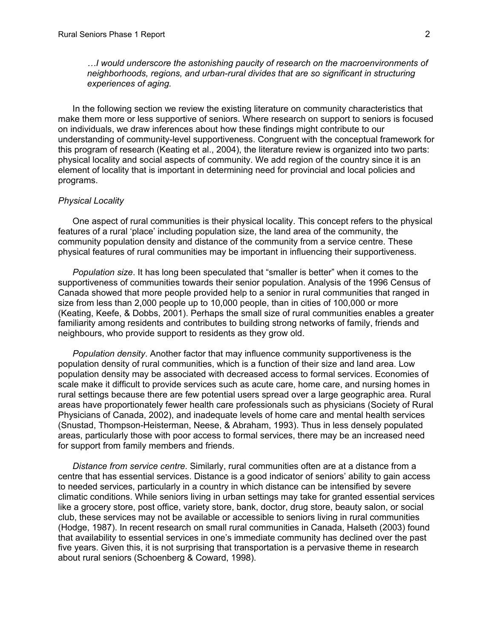<span id="page-4-0"></span>*…I would underscore the astonishing paucity of research on the macroenvironments of neighborhoods, regions, and urban-rural divides that are so significant in structuring experiences of aging.* 

In the following section we review the existing literature on community characteristics that make them more or less supportive of seniors. Where research on support to seniors is focused on individuals, we draw inferences about how these findings might contribute to our understanding of community-level supportiveness. Congruent with the conceptual framework for this program of research (Keating et al., 2004), the literature review is organized into two parts: physical locality and social aspects of community. We add region of the country since it is an element of locality that is important in determining need for provincial and local policies and programs.

#### *Physical Locality*

One aspect of rural communities is their physical locality. This concept refers to the physical features of a rural 'place' including population size, the land area of the community, the community population density and distance of the community from a service centre. These physical features of rural communities may be important in influencing their supportiveness.

*Population size*. It has long been speculated that "smaller is better" when it comes to the supportiveness of communities towards their senior population. Analysis of the 1996 Census of Canada showed that more people provided help to a senior in rural communities that ranged in size from less than 2,000 people up to 10,000 people, than in cities of 100,000 or more (Keating, Keefe, & Dobbs, 2001). Perhaps the small size of rural communities enables a greater familiarity among residents and contributes to building strong networks of family, friends and neighbours, who provide support to residents as they grow old.

*Population density*. Another factor that may influence community supportiveness is the population density of rural communities, which is a function of their size and land area. Low population density may be associated with decreased access to formal services. Economies of scale make it difficult to provide services such as acute care, home care, and nursing homes in rural settings because there are few potential users spread over a large geographic area. Rural areas have proportionately fewer health care professionals such as physicians (Society of Rural Physicians of Canada, 2002), and inadequate levels of home care and mental health services (Snustad, Thompson-Heisterman, Neese, & Abraham, 1993). Thus in less densely populated areas, particularly those with poor access to formal services, there may be an increased need for support from family members and friends.

*Distance from service centre*. Similarly, rural communities often are at a distance from a centre that has essential services. Distance is a good indicator of seniors' ability to gain access to needed services, particularly in a country in which distance can be intensified by severe climatic conditions. While seniors living in urban settings may take for granted essential services like a grocery store, post office, variety store, bank, doctor, drug store, beauty salon, or social club, these services may not be available or accessible to seniors living in rural communities (Hodge, 1987). In recent research on small rural communities in Canada, Halseth (2003) found that availability to essential services in one's immediate community has declined over the past five years. Given this, it is not surprising that transportation is a pervasive theme in research about rural seniors (Schoenberg & Coward, 1998).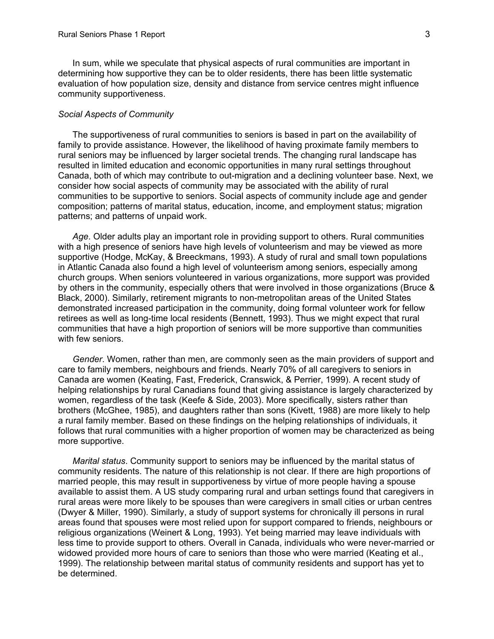<span id="page-5-0"></span>In sum, while we speculate that physical aspects of rural communities are important in determining how supportive they can be to older residents, there has been little systematic evaluation of how population size, density and distance from service centres might influence community supportiveness.

#### *Social Aspects of Community*

The supportiveness of rural communities to seniors is based in part on the availability of family to provide assistance. However, the likelihood of having proximate family members to rural seniors may be influenced by larger societal trends. The changing rural landscape has resulted in limited education and economic opportunities in many rural settings throughout Canada, both of which may contribute to out-migration and a declining volunteer base. Next, we consider how social aspects of community may be associated with the ability of rural communities to be supportive to seniors. Social aspects of community include age and gender composition; patterns of marital status, education, income, and employment status; migration patterns; and patterns of unpaid work.

*Age*. Older adults play an important role in providing support to others. Rural communities with a high presence of seniors have high levels of volunteerism and may be viewed as more supportive (Hodge, McKay, & Breeckmans, 1993). A study of rural and small town populations in Atlantic Canada also found a high level of volunteerism among seniors, especially among church groups. When seniors volunteered in various organizations, more support was provided by others in the community, especially others that were involved in those organizations (Bruce & Black, 2000). Similarly, retirement migrants to non-metropolitan areas of the United States demonstrated increased participation in the community, doing formal volunteer work for fellow retirees as well as long-time local residents (Bennett, 1993). Thus we might expect that rural communities that have a high proportion of seniors will be more supportive than communities with few seniors.

*Gender*. Women, rather than men, are commonly seen as the main providers of support and care to family members, neighbours and friends. Nearly 70% of all caregivers to seniors in Canada are women (Keating, Fast, Frederick, Cranswick, & Perrier, 1999). A recent study of helping relationships by rural Canadians found that giving assistance is largely characterized by women, regardless of the task (Keefe & Side, 2003). More specifically, sisters rather than brothers (McGhee, 1985), and daughters rather than sons (Kivett, 1988) are more likely to help a rural family member. Based on these findings on the helping relationships of individuals, it follows that rural communities with a higher proportion of women may be characterized as being more supportive.

*Marital status*. Community support to seniors may be influenced by the marital status of community residents. The nature of this relationship is not clear. If there are high proportions of married people, this may result in supportiveness by virtue of more people having a spouse available to assist them. A US study comparing rural and urban settings found that caregivers in rural areas were more likely to be spouses than were caregivers in small cities or urban centres (Dwyer & Miller, 1990). Similarly, a study of support systems for chronically ill persons in rural areas found that spouses were most relied upon for support compared to friends, neighbours or religious organizations (Weinert & Long, 1993). Yet being married may leave individuals with less time to provide support to others. Overall in Canada, individuals who were never-married or widowed provided more hours of care to seniors than those who were married (Keating et al., 1999). The relationship between marital status of community residents and support has yet to be determined.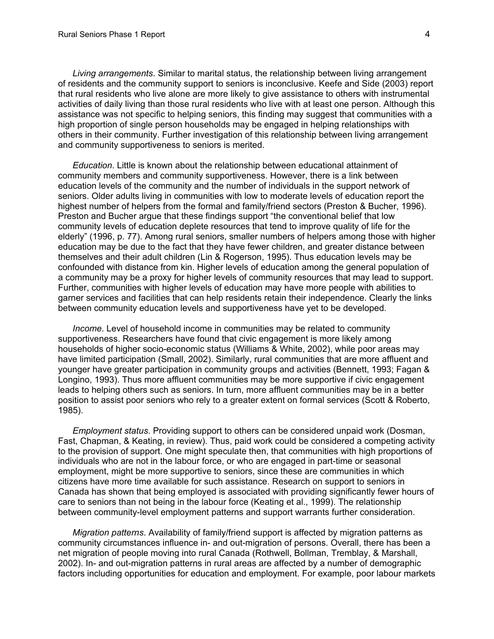*Living arrangements*. Similar to marital status, the relationship between living arrangement of residents and the community support to seniors is inconclusive. Keefe and Side (2003) report that rural residents who live alone are more likely to give assistance to others with instrumental activities of daily living than those rural residents who live with at least one person. Although this assistance was not specific to helping seniors, this finding may suggest that communities with a high proportion of single person households may be engaged in helping relationships with others in their community. Further investigation of this relationship between living arrangement and community supportiveness to seniors is merited.

*Education*. Little is known about the relationship between educational attainment of community members and community supportiveness. However, there is a link between education levels of the community and the number of individuals in the support network of seniors. Older adults living in communities with low to moderate levels of education report the highest number of helpers from the formal and family/friend sectors (Preston & Bucher, 1996). Preston and Bucher argue that these findings support "the conventional belief that low community levels of education deplete resources that tend to improve quality of life for the elderly" (1996, p. 77). Among rural seniors, smaller numbers of helpers among those with higher education may be due to the fact that they have fewer children, and greater distance between themselves and their adult children (Lin & Rogerson, 1995). Thus education levels may be confounded with distance from kin. Higher levels of education among the general population of a community may be a proxy for higher levels of community resources that may lead to support. Further, communities with higher levels of education may have more people with abilities to garner services and facilities that can help residents retain their independence. Clearly the links between community education levels and supportiveness have yet to be developed.

*Income*. Level of household income in communities may be related to community supportiveness. Researchers have found that civic engagement is more likely among households of higher socio-economic status (Williams & White, 2002), while poor areas may have limited participation (Small, 2002). Similarly, rural communities that are more affluent and younger have greater participation in community groups and activities (Bennett, 1993; Fagan & Longino, 1993). Thus more affluent communities may be more supportive if civic engagement leads to helping others such as seniors. In turn, more affluent communities may be in a better position to assist poor seniors who rely to a greater extent on formal services (Scott & Roberto, 1985).

*Employment status*. Providing support to others can be considered unpaid work (Dosman, Fast, Chapman, & Keating, in review). Thus, paid work could be considered a competing activity to the provision of support. One might speculate then, that communities with high proportions of individuals who are not in the labour force, or who are engaged in part-time or seasonal employment, might be more supportive to seniors, since these are communities in which citizens have more time available for such assistance. Research on support to seniors in Canada has shown that being employed is associated with providing significantly fewer hours of care to seniors than not being in the labour force (Keating et al., 1999). The relationship between community-level employment patterns and support warrants further consideration.

*Migration patterns*. Availability of family/friend support is affected by migration patterns as community circumstances influence in- and out-migration of persons. Overall, there has been a net migration of people moving into rural Canada (Rothwell, Bollman, Tremblay, & Marshall, 2002). In- and out-migration patterns in rural areas are affected by a number of demographic factors including opportunities for education and employment. For example, poor labour markets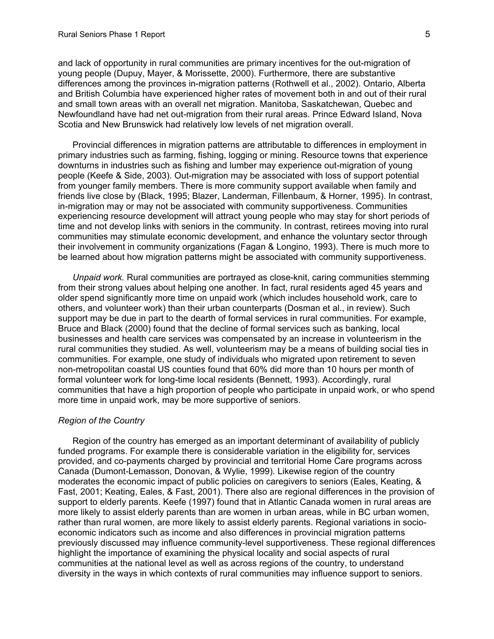<span id="page-7-0"></span>and lack of opportunity in rural communities are primary incentives for the out-migration of young people (Dupuy, Mayer, & Morissette, 2000). Furthermore, there are substantive differences among the provinces in-migration patterns (Rothwell et al., 2002). Ontario, Alberta and British Columbia have experienced higher rates of movement both in and out of their rural and small town areas with an overall net migration. Manitoba, Saskatchewan, Quebec and Newfoundland have had net out-migration from their rural areas. Prince Edward Island, Nova Scotia and New Brunswick had relatively low levels of net migration overall.

Provincial differences in migration patterns are attributable to differences in employment in primary industries such as farming, fishing, logging or mining. Resource towns that experience downturns in industries such as fishing and lumber may experience out-migration of young people (Keefe & Side, 2003). Out-migration may be associated with loss of support potential from younger family members. There is more community support available when family and friends live close by (Black, 1995; Blazer, Landerman, Fillenbaum, & Horner, 1995). In contrast, in-migration may or may not be associated with community supportiveness. Communities experiencing resource development will attract young people who may stay for short periods of time and not develop links with seniors in the community. In contrast, retirees moving into rural communities may stimulate economic development, and enhance the voluntary sector through their involvement in community organizations (Fagan & Longino, 1993). There is much more to be learned about how migration patterns might be associated with community supportiveness.

*Unpaid work.* Rural communities are portrayed as close-knit, caring communities stemming from their strong values about helping one another. In fact, rural residents aged 45 years and older spend significantly more time on unpaid work (which includes household work, care to others, and volunteer work) than their urban counterparts (Dosman et al., in review). Such support may be due in part to the dearth of formal services in rural communities. For example, Bruce and Black (2000) found that the decline of formal services such as banking, local businesses and health care services was compensated by an increase in volunteerism in the rural communities they studied. As well, volunteerism may be a means of building social ties in communities. For example, one study of individuals who migrated upon retirement to seven non-metropolitan coastal US counties found that 60% did more than 10 hours per month of formal volunteer work for long-time local residents (Bennett, 1993). Accordingly, rural communities that have a high proportion of people who participate in unpaid work, or who spend more time in unpaid work, may be more supportive of seniors.

## *Region of the Country*

Region of the country has emerged as an important determinant of availability of publicly funded programs. For example there is considerable variation in the eligibility for, services provided, and co-payments charged by provincial and territorial Home Care programs across Canada (Dumont-Lemasson, Donovan, & Wylie, 1999). Likewise region of the country moderates the economic impact of public policies on caregivers to seniors (Eales, Keating, & Fast, 2001; Keating, Eales, & Fast, 2001). There also are regional differences in the provision of support to elderly parents. Keefe (1997) found that in Atlantic Canada women in rural areas are more likely to assist elderly parents than are women in urban areas, while in BC urban women, rather than rural women, are more likely to assist elderly parents. Regional variations in socioeconomic indicators such as income and also differences in provincial migration patterns previously discussed may influence community-level supportiveness. These regional differences highlight the importance of examining the physical locality and social aspects of rural communities at the national level as well as across regions of the country, to understand diversity in the ways in which contexts of rural communities may influence support to seniors.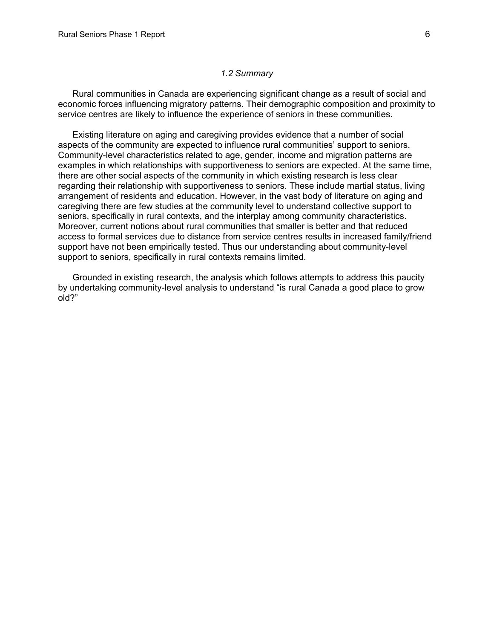#### *1.2 Summary*

<span id="page-8-0"></span>Rural communities in Canada are experiencing significant change as a result of social and economic forces influencing migratory patterns. Their demographic composition and proximity to service centres are likely to influence the experience of seniors in these communities.

Existing literature on aging and caregiving provides evidence that a number of social aspects of the community are expected to influence rural communities' support to seniors. Community-level characteristics related to age, gender, income and migration patterns are examples in which relationships with supportiveness to seniors are expected. At the same time, there are other social aspects of the community in which existing research is less clear regarding their relationship with supportiveness to seniors. These include martial status, living arrangement of residents and education. However, in the vast body of literature on aging and caregiving there are few studies at the community level to understand collective support to seniors, specifically in rural contexts, and the interplay among community characteristics. Moreover, current notions about rural communities that smaller is better and that reduced access to formal services due to distance from service centres results in increased family/friend support have not been empirically tested. Thus our understanding about community-level support to seniors, specifically in rural contexts remains limited.

Grounded in existing research, the analysis which follows attempts to address this paucity by undertaking community-level analysis to understand "is rural Canada a good place to grow old?"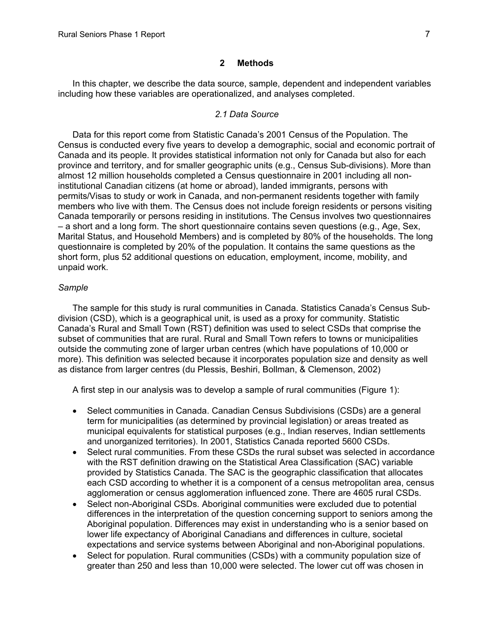#### **2 Methods**

<span id="page-9-0"></span>In this chapter, we describe the data source, sample, dependent and independent variables including how these variables are operationalized, and analyses completed.

#### *2.1 Data Source*

Data for this report come from Statistic Canada's 2001 Census of the Population. The Census is conducted every five years to develop a demographic, social and economic portrait of Canada and its people. It provides statistical information not only for Canada but also for each province and territory, and for smaller geographic units (e.g., Census Sub-divisions). More than almost 12 million households completed a Census questionnaire in 2001 including all noninstitutional Canadian citizens (at home or abroad), landed immigrants, persons with permits/Visas to study or work in Canada, and non-permanent residents together with family members who live with them. The Census does not include foreign residents or persons visiting Canada temporarily or persons residing in institutions. The Census involves two questionnaires – a short and a long form. The short questionnaire contains seven questions (e.g., Age, Sex, Marital Status, and Household Members) and is completed by 80% of the households. The long questionnaire is completed by 20% of the population. It contains the same questions as the short form, plus 52 additional questions on education, employment, income, mobility, and unpaid work.

# *Sample*

The sample for this study is rural communities in Canada. Statistics Canada's Census Subdivision (CSD), which is a geographical unit, is used as a proxy for community. Statistic Canada's Rural and Small Town (RST) definition was used to select CSDs that comprise the subset of communities that are rural. Rural and Small Town refers to towns or municipalities outside the commuting zone of larger urban centres (which have populations of 10,000 or more). This definition was selected because it incorporates population size and density as well as distance from larger centres (du Plessis, Beshiri, Bollman, & Clemenson, 2002)

A first step in our analysis was to develop a sample of rural communities (Figure 1):

- Select communities in Canada. Canadian Census Subdivisions (CSDs) are a general term for municipalities (as determined by provincial legislation) or areas treated as municipal equivalents for statistical purposes (e.g., Indian reserves, Indian settlements and unorganized territories). In 2001, Statistics Canada reported 5600 CSDs.
- Select rural communities. From these CSDs the rural subset was selected in accordance with the RST definition drawing on the Statistical Area Classification (SAC) variable provided by Statistics Canada. The SAC is the geographic classification that allocates each CSD according to whether it is a component of a census metropolitan area, census agglomeration or census agglomeration influenced zone. There are 4605 rural CSDs.
- Select non-Aboriginal CSDs. Aboriginal communities were excluded due to potential differences in the interpretation of the question concerning support to seniors among the Aboriginal population. Differences may exist in understanding who is a senior based on lower life expectancy of Aboriginal Canadians and differences in culture, societal expectations and service systems between Aboriginal and non-Aboriginal populations.
- Select for population. Rural communities (CSDs) with a community population size of greater than 250 and less than 10,000 were selected. The lower cut off was chosen in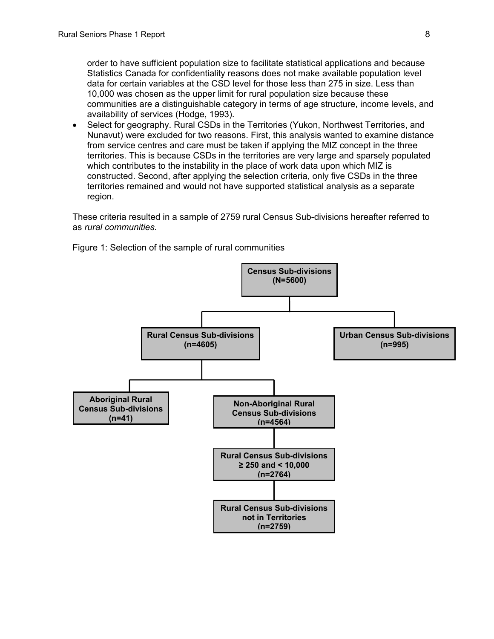order to have sufficient population size to facilitate statistical applications and because Statistics Canada for confidentiality reasons does not make available population level data for certain variables at the CSD level for those less than 275 in size. Less than 10,000 was chosen as the upper limit for rural population size because these communities are a distinguishable category in terms of age structure, income levels, and availability of services (Hodge, 1993).

• Select for geography, Rural CSDs in the Territories (Yukon, Northwest Territories, and Nunavut) were excluded for two reasons. First, this analysis wanted to examine distance from service centres and care must be taken if applying the MIZ concept in the three territories. This is because CSDs in the territories are very large and sparsely populated which contributes to the instability in the place of work data upon which MIZ is constructed. Second, after applying the selection criteria, only five CSDs in the three territories remained and would not have supported statistical analysis as a separate region.

These criteria resulted in a sample of 2759 rural Census Sub-divisions hereafter referred to as *rural communities*.



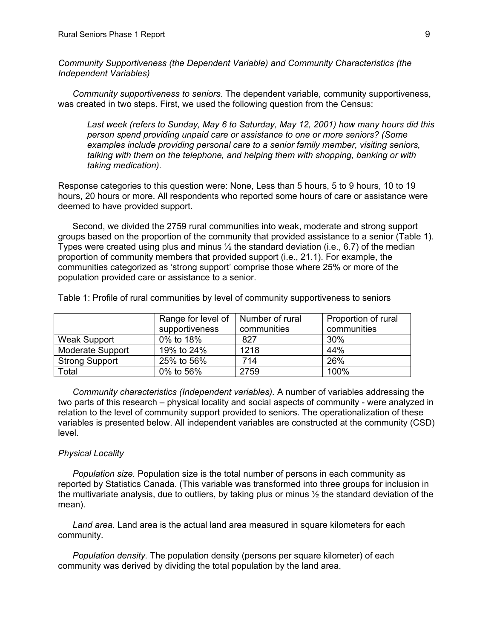<span id="page-11-0"></span>*Community Supportiveness (the Dependent Variable) and Community Characteristics (the Independent Variables)* 

*Community supportiveness to seniors*. The dependent variable, community supportiveness, was created in two steps. First, we used the following question from the Census:

*Last week (refers to Sunday, May 6 to Saturday, May 12, 2001) how many hours did this person spend providing unpaid care or assistance to one or more seniors? (Some examples include providing personal care to a senior family member, visiting seniors, talking with them on the telephone, and helping them with shopping, banking or with taking medication).* 

Response categories to this question were: None, Less than 5 hours, 5 to 9 hours, 10 to 19 hours, 20 hours or more. All respondents who reported some hours of care or assistance were deemed to have provided support.

Second, we divided the 2759 rural communities into weak, moderate and strong support groups based on the proportion of the community that provided assistance to a senior (Table 1). Types were created using plus and minus  $\frac{1}{2}$  the standard deviation (i.e., 6.7) of the median proportion of community members that provided support (i.e., 21.1). For example, the communities categorized as 'strong support' comprise those where 25% or more of the population provided care or assistance to a senior.

|                         | Range for level of | Number of rural | Proportion of rural |
|-------------------------|--------------------|-----------------|---------------------|
|                         | supportiveness     | communities     | communities         |
| <b>Weak Support</b>     | 0% to 18%          | 827             | $30\%$              |
| <b>Moderate Support</b> | 19% to 24%         | 1218            | 44%                 |
| <b>Strong Support</b>   | 25% to 56%         | 714             | 26%                 |
| Total                   | 0% to 56%          | 2759            | 100%                |

Table 1: Profile of rural communities by level of community supportiveness to seniors

*Community characteristics (Independent variables).* A number of variables addressing the two parts of this research – physical locality and social aspects of community - were analyzed in relation to the level of community support provided to seniors. The operationalization of these variables is presented below. All independent variables are constructed at the community (CSD) level.

#### *Physical Locality*

*Population size.* Population size is the total number of persons in each community as reported by Statistics Canada. (This variable was transformed into three groups for inclusion in the multivariate analysis, due to outliers, by taking plus or minus  $\frac{1}{2}$  the standard deviation of the mean).

*Land area.* Land area is the actual land area measured in square kilometers for each community.

*Population density.* The population density (persons per square kilometer) of each community was derived by dividing the total population by the land area.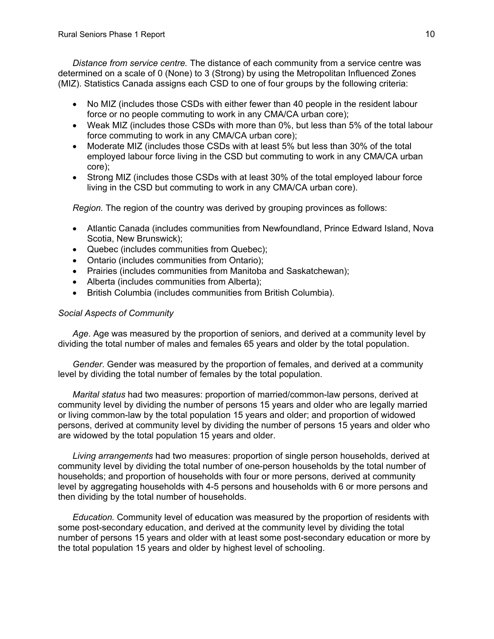<span id="page-12-0"></span>*Distance from service centre.* The distance of each community from a service centre was determined on a scale of 0 (None) to 3 (Strong) by using the Metropolitan Influenced Zones (MIZ). Statistics Canada assigns each CSD to one of four groups by the following criteria:

- No MIZ (includes those CSDs with either fewer than 40 people in the resident labour force or no people commuting to work in any CMA/CA urban core);
- Weak MIZ (includes those CSDs with more than 0%, but less than 5% of the total labour force commuting to work in any CMA/CA urban core);
- Moderate MIZ (includes those CSDs with at least 5% but less than 30% of the total employed labour force living in the CSD but commuting to work in any CMA/CA urban core);
- Strong MIZ (includes those CSDs with at least 30% of the total employed labour force living in the CSD but commuting to work in any CMA/CA urban core).

 *Region.* The region of the country was derived by grouping provinces as follows:

- Atlantic Canada (includes communities from Newfoundland, Prince Edward Island, Nova Scotia, New Brunswick);
- Quebec (includes communities from Quebec);
- Ontario (includes communities from Ontario);
- Prairies (includes communities from Manitoba and Saskatchewan);
- Alberta (includes communities from Alberta);
- British Columbia (includes communities from British Columbia).

# *Social Aspects of Community*

*Age*. Age was measured by the proportion of seniors, and derived at a community level by dividing the total number of males and females 65 years and older by the total population.

*Gender*. Gender was measured by the proportion of females, and derived at a community level by dividing the total number of females by the total population.

*Marital status* had two measures: proportion of married/common-law persons, derived at community level by dividing the number of persons 15 years and older who are legally married or living common-law by the total population 15 years and older; and proportion of widowed persons, derived at community level by dividing the number of persons 15 years and older who are widowed by the total population 15 years and older.

*Living arrangements* had two measures: proportion of single person households, derived at community level by dividing the total number of one-person households by the total number of households; and proportion of households with four or more persons, derived at community level by aggregating households with 4-5 persons and households with 6 or more persons and then dividing by the total number of households.

*Education.* Community level of education was measured by the proportion of residents with some post-secondary education, and derived at the community level by dividing the total number of persons 15 years and older with at least some post-secondary education or more by the total population 15 years and older by highest level of schooling.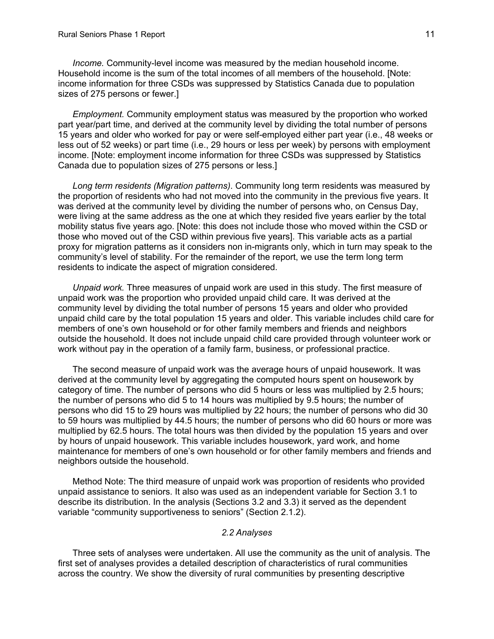<span id="page-13-0"></span>*Income.* Community-level income was measured by the median household income. Household income is the sum of the total incomes of all members of the household. [Note: income information for three CSDs was suppressed by Statistics Canada due to population sizes of 275 persons or fewer.]

*Employment.* Community employment status was measured by the proportion who worked part year/part time, and derived at the community level by dividing the total number of persons 15 years and older who worked for pay or were self-employed either part year (i.e., 48 weeks or less out of 52 weeks) or part time (i.e., 29 hours or less per week) by persons with employment income. [Note: employment income information for three CSDs was suppressed by Statistics Canada due to population sizes of 275 persons or less.]

*Long term residents (Migration patterns)*. Community long term residents was measured by the proportion of residents who had not moved into the community in the previous five years. It was derived at the community level by dividing the number of persons who, on Census Day, were living at the same address as the one at which they resided five years earlier by the total mobility status five years ago. [Note: this does not include those who moved within the CSD or those who moved out of the CSD within previous five years]. This variable acts as a partial proxy for migration patterns as it considers non in-migrants only, which in turn may speak to the community's level of stability. For the remainder of the report, we use the term long term residents to indicate the aspect of migration considered.

*Unpaid work.* Three measures of unpaid work are used in this study. The first measure of unpaid work was the proportion who provided unpaid child care. It was derived at the community level by dividing the total number of persons 15 years and older who provided unpaid child care by the total population 15 years and older. This variable includes child care for members of one's own household or for other family members and friends and neighbors outside the household. It does not include unpaid child care provided through volunteer work or work without pay in the operation of a family farm, business, or professional practice.

The second measure of unpaid work was the average hours of unpaid housework. It was derived at the community level by aggregating the computed hours spent on housework by category of time. The number of persons who did 5 hours or less was multiplied by 2.5 hours; the number of persons who did 5 to 14 hours was multiplied by 9.5 hours; the number of persons who did 15 to 29 hours was multiplied by 22 hours; the number of persons who did 30 to 59 hours was multiplied by 44.5 hours; the number of persons who did 60 hours or more was multiplied by 62.5 hours. The total hours was then divided by the population 15 years and over by hours of unpaid housework. This variable includes housework, yard work, and home maintenance for members of one's own household or for other family members and friends and neighbors outside the household.

Method Note: The third measure of unpaid work was proportion of residents who provided unpaid assistance to seniors. It also was used as an independent variable for Section 3.1 to describe its distribution. In the analysis (Sections 3.2 and 3.3) it served as the dependent variable "community supportiveness to seniors" (Section 2.1.2).

# *2.2 Analyses*

Three sets of analyses were undertaken. All use the community as the unit of analysis. The first set of analyses provides a detailed description of characteristics of rural communities across the country. We show the diversity of rural communities by presenting descriptive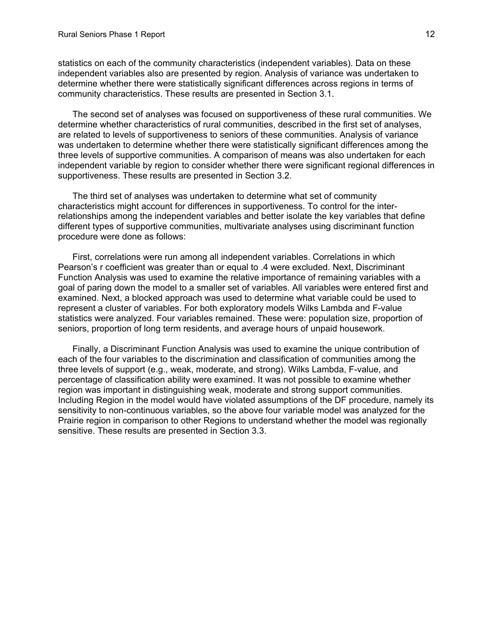statistics on each of the community characteristics (independent variables). Data on these independent variables also are presented by region. Analysis of variance was undertaken to determine whether there were statistically significant differences across regions in terms of community characteristics. These results are presented in Section 3.1.

The second set of analyses was focused on supportiveness of these rural communities. We determine whether characteristics of rural communities, described in the first set of analyses, are related to levels of supportiveness to seniors of these communities. Analysis of variance was undertaken to determine whether there were statistically significant differences among the three levels of supportive communities. A comparison of means was also undertaken for each independent variable by region to consider whether there were significant regional differences in supportiveness. These results are presented in Section 3.2.

The third set of analyses was undertaken to determine what set of community characteristics might account for differences in supportiveness. To control for the interrelationships among the independent variables and better isolate the key variables that define different types of supportive communities, multivariate analyses using discriminant function procedure were done as follows:

First, correlations were run among all independent variables. Correlations in which Pearson's r coefficient was greater than or equal to .4 were excluded. Next, Discriminant Function Analysis was used to examine the relative importance of remaining variables with a goal of paring down the model to a smaller set of variables. All variables were entered first and examined. Next, a blocked approach was used to determine what variable could be used to represent a cluster of variables. For both exploratory models Wilks Lambda and F-value statistics were analyzed. Four variables remained. These were: population size, proportion of seniors, proportion of long term residents, and average hours of unpaid housework.

Finally, a Discriminant Function Analysis was used to examine the unique contribution of each of the four variables to the discrimination and classification of communities among the three levels of support (e.g., weak, moderate, and strong). Wilks Lambda, F-value, and percentage of classification ability were examined. It was not possible to examine whether region was important in distinguishing weak, moderate and strong support communities. Including Region in the model would have violated assumptions of the DF procedure, namely its sensitivity to non-continuous variables, so the above four variable model was analyzed for the Prairie region in comparison to other Regions to understand whether the model was regionally sensitive. These results are presented in Section 3.3.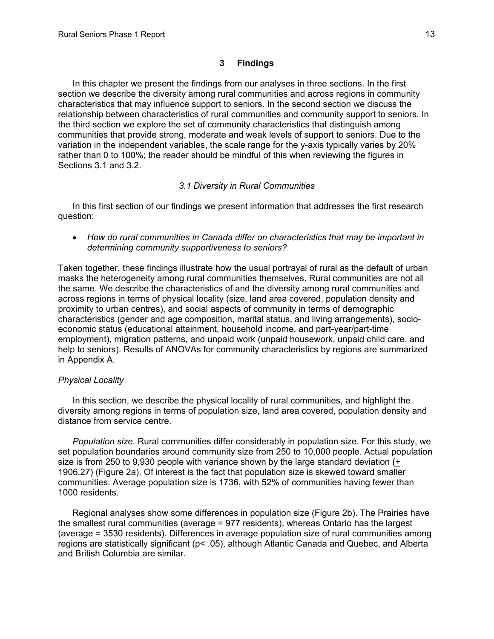# **3 Findings**

<span id="page-15-0"></span>In this chapter we present the findings from our analyses in three sections. In the first section we describe the diversity among rural communities and across regions in community characteristics that may influence support to seniors. In the second section we discuss the relationship between characteristics of rural communities and community support to seniors. In the third section we explore the set of community characteristics that distinguish among communities that provide strong, moderate and weak levels of support to seniors. Due to the variation in the independent variables, the scale range for the y-axis typically varies by 20% rather than 0 to 100%; the reader should be mindful of this when reviewing the figures in Sections 3.1 and 3.2.

#### *3.1 Diversity in Rural Communities*

In this first section of our findings we present information that addresses the first research question:

• *How do rural communities in Canada differ on characteristics that may be important in determining community supportiveness to seniors?* 

Taken together, these findings illustrate how the usual portrayal of rural as the default of urban masks the heterogeneity among rural communities themselves. Rural communities are not all the same. We describe the characteristics of and the diversity among rural communities and across regions in terms of physical locality (size, land area covered, population density and proximity to urban centres), and social aspects of community in terms of demographic characteristics (gender and age composition, marital status, and living arrangements), socioeconomic status (educational attainment, household income, and part-year/part-time employment), migration patterns, and unpaid work (unpaid housework, unpaid child care, and help to seniors). Results of ANOVAs for community characteristics by regions are summarized in Appendix A.

#### *Physical Locality*

In this section, we describe the physical locality of rural communities, and highlight the diversity among regions in terms of population size, land area covered, population density and distance from service centre.

*Population size*. Rural communities differ considerably in population size. For this study, we set population boundaries around community size from 250 to 10,000 people. Actual population size is from 250 to 9,930 people with variance shown by the large standard deviation (+ 1906.27) (Figure 2a). Of interest is the fact that population size is skewed toward smaller communities. Average population size is 1736, with 52% of communities having fewer than 1000 residents.

Regional analyses show some differences in population size (Figure 2b). The Prairies have the smallest rural communities (average = 977 residents), whereas Ontario has the largest (average = 3530 residents). Differences in average population size of rural communities among regions are statistically significant (p< .05), although Atlantic Canada and Quebec, and Alberta and British Columbia are similar.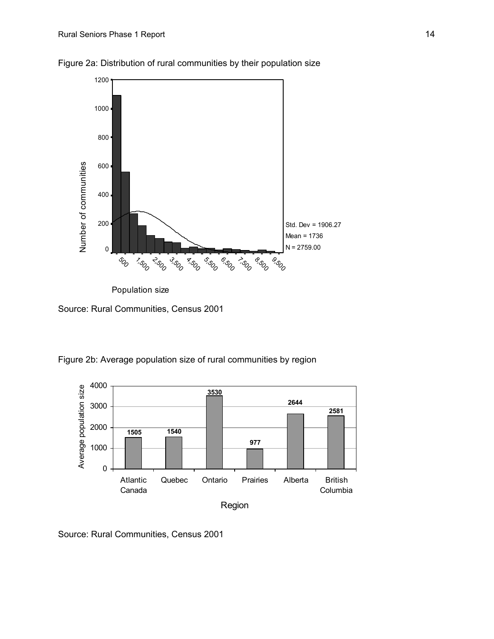

Figure 2a: Distribution of rural communities by their population size

 Source: Rural Communities, Census 2001

Figure 2b: Average population size of rural communities by region



Source: Rural Communities, Census 2001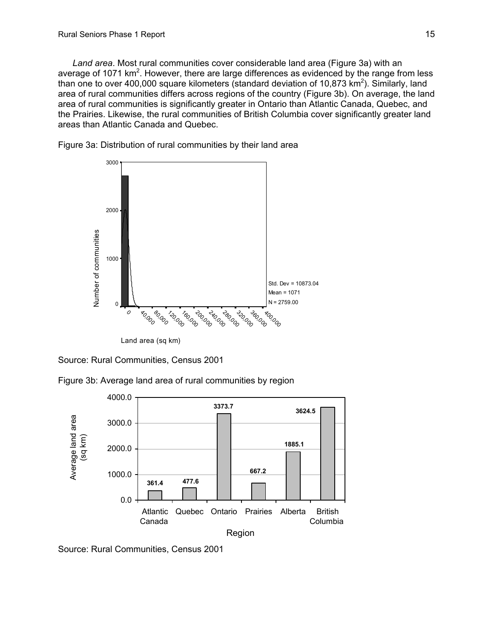*Land area*. Most rural communities cover considerable land area (Figure 3a) with an average of 1071 km<sup>2</sup>. However, there are large differences as evidenced by the range from less than one to over 400,000 square kilometers (standard deviation of 10,873  $\text{km}^2$ ). Similarly, land area of rural communities differs across regions of the country (Figure 3b). On average, the land area of rural communities is significantly greater in Ontario than Atlantic Canada, Quebec, and the Prairies. Likewise, the rural communities of British Columbia cover significantly greater land areas than Atlantic Canada and Quebec.



Figure 3a: Distribution of rural communities by their land area

Land area (sq km)

Source: Rural Communities, Census 2001

Figure 3b: Average land area of rural communities by region



Source: Rural Communities, Census 2001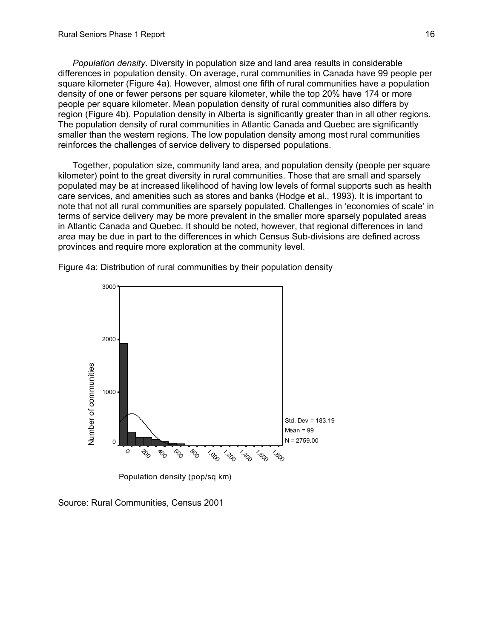*Population density*. Diversity in population size and land area results in considerable differences in population density. On average, rural communities in Canada have 99 people per square kilometer (Figure 4a). However, almost one fifth of rural communities have a population density of one or fewer persons per square kilometer, while the top 20% have 174 or more people per square kilometer. Mean population density of rural communities also differs by region (Figure 4b). Population density in Alberta is significantly greater than in all other regions. The population density of rural communities in Atlantic Canada and Quebec are significantly smaller than the western regions. The low population density among most rural communities reinforces the challenges of service delivery to dispersed populations.

Together, population size, community land area, and population density (people per square kilometer) point to the great diversity in rural communities. Those that are small and sparsely populated may be at increased likelihood of having low levels of formal supports such as health care services, and amenities such as stores and banks (Hodge et al., 1993). It is important to note that not all rural communities are sparsely populated. Challenges in 'economies of scale' in terms of service delivery may be more prevalent in the smaller more sparsely populated areas in Atlantic Canada and Quebec. It should be noted, however, that regional differences in land area may be due in part to the differences in which Census Sub-divisions are defined across provinces and require more exploration at the community level.



Figure 4a: Distribution of rural communities by their population density

Source: Rural Communities, Census 2001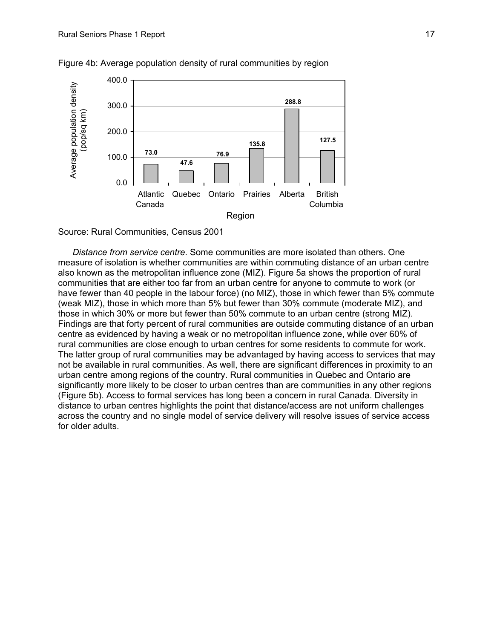

#### Figure 4b: Average population density of rural communities by region



*Distance from service centre*. Some communities are more isolated than others. One measure of isolation is whether communities are within commuting distance of an urban centre also known as the metropolitan influence zone (MIZ). Figure 5a shows the proportion of rural communities that are either too far from an urban centre for anyone to commute to work (or have fewer than 40 people in the labour force) (no MIZ), those in which fewer than 5% commute (weak MIZ), those in which more than 5% but fewer than 30% commute (moderate MIZ), and those in which 30% or more but fewer than 50% commute to an urban centre (strong MIZ). Findings are that forty percent of rural communities are outside commuting distance of an urban centre as evidenced by having a weak or no metropolitan influence zone, while over 60% of rural communities are close enough to urban centres for some residents to commute for work. The latter group of rural communities may be advantaged by having access to services that may not be available in rural communities. As well, there are significant differences in proximity to an urban centre among regions of the country. Rural communities in Quebec and Ontario are significantly more likely to be closer to urban centres than are communities in any other regions (Figure 5b). Access to formal services has long been a concern in rural Canada. Diversity in distance to urban centres highlights the point that distance/access are not uniform challenges across the country and no single model of service delivery will resolve issues of service access for older adults.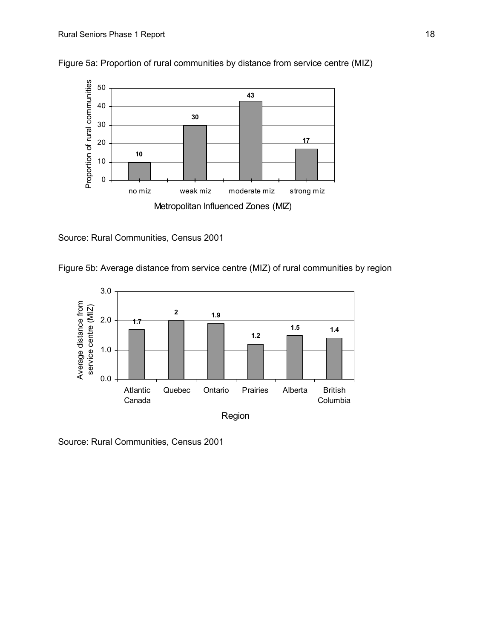

Figure 5a: Proportion of rural communities by distance from service centre (MIZ)

Source: Rural Communities, Census 2001

Figure 5b: Average distance from service centre (MIZ) of rural communities by region

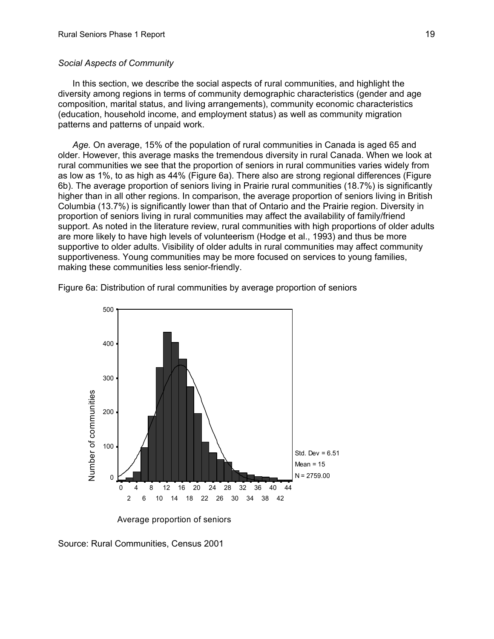#### <span id="page-21-0"></span>*Social Aspects of Community*

In this section, we describe the social aspects of rural communities, and highlight the diversity among regions in terms of community demographic characteristics (gender and age composition, marital status, and living arrangements), community economic characteristics (education, household income, and employment status) as well as community migration patterns and patterns of unpaid work.

*Age.* On average, 15% of the population of rural communities in Canada is aged 65 and older. However, this average masks the tremendous diversity in rural Canada. When we look at rural communities we see that the proportion of seniors in rural communities varies widely from as low as 1%, to as high as 44% (Figure 6a). There also are strong regional differences (Figure 6b). The average proportion of seniors living in Prairie rural communities (18.7%) is significantly higher than in all other regions. In comparison, the average proportion of seniors living in British Columbia (13.7%) is significantly lower than that of Ontario and the Prairie region. Diversity in proportion of seniors living in rural communities may affect the availability of family/friend support. As noted in the literature review, rural communities with high proportions of older adults are more likely to have high levels of volunteerism (Hodge et al., 1993) and thus be more supportive to older adults. Visibility of older adults in rural communities may affect community supportiveness. Young communities may be more focused on services to young families, making these communities less senior-friendly.



Figure 6a: Distribution of rural communities by average proportion of seniors

Average proportion of seniors

Source: Rural Communities, Census 2001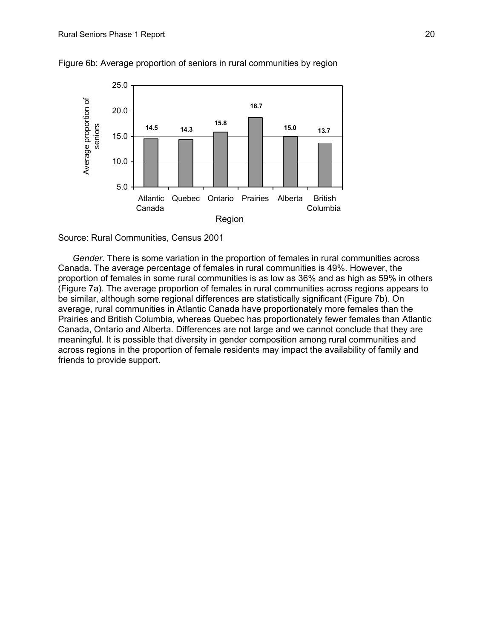

Figure 6b: Average proportion of seniors in rural communities by region



*Gender*. There is some variation in the proportion of females in rural communities across Canada. The average percentage of females in rural communities is 49%. However, the proportion of females in some rural communities is as low as 36% and as high as 59% in others (Figure 7a). The average proportion of females in rural communities across regions appears to be similar, although some regional differences are statistically significant (Figure 7b). On average, rural communities in Atlantic Canada have proportionately more females than the Prairies and British Columbia, whereas Quebec has proportionately fewer females than Atlantic Canada, Ontario and Alberta. Differences are not large and we cannot conclude that they are meaningful. It is possible that diversity in gender composition among rural communities and across regions in the proportion of female residents may impact the availability of family and friends to provide support.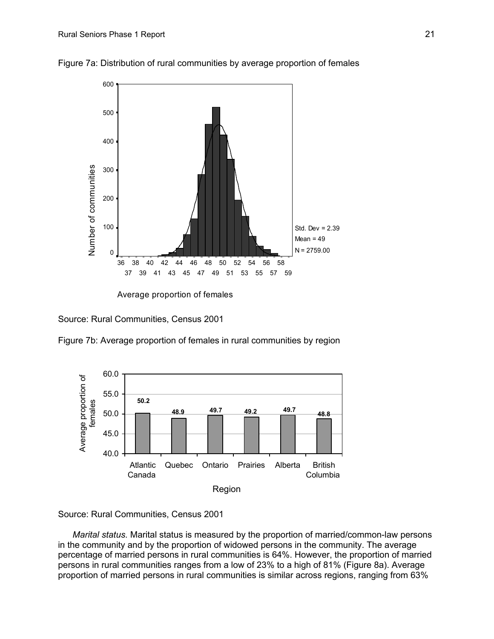

Figure 7a: Distribution of rural communities by average proportion of females

Average proportion of females

Source: Rural Communities, Census 2001

Figure 7b: Average proportion of females in rural communities by region



Source: Rural Communities, Census 2001

*Marital status.* Marital status is measured by the proportion of married/common-law persons in the community and by the proportion of widowed persons in the community. The average percentage of married persons in rural communities is 64%. However, the proportion of married persons in rural communities ranges from a low of 23% to a high of 81% (Figure 8a). Average proportion of married persons in rural communities is similar across regions, ranging from 63%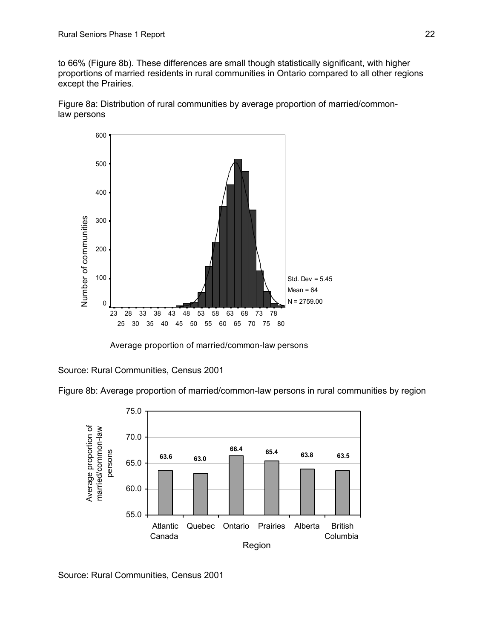to 66% (Figure 8b). These differences are small though statistically significant, with higher proportions of married residents in rural communities in Ontario compared to all other regions except the Prairies.

Figure 8a: Distribution of rural communities by average proportion of married/commonlaw persons



Average proportion of married/common-law persons

Source: Rural Communities, Census 2001

Figure 8b: Average proportion of married/common-law persons in rural communities by region



Source: Rural Communities, Census 2001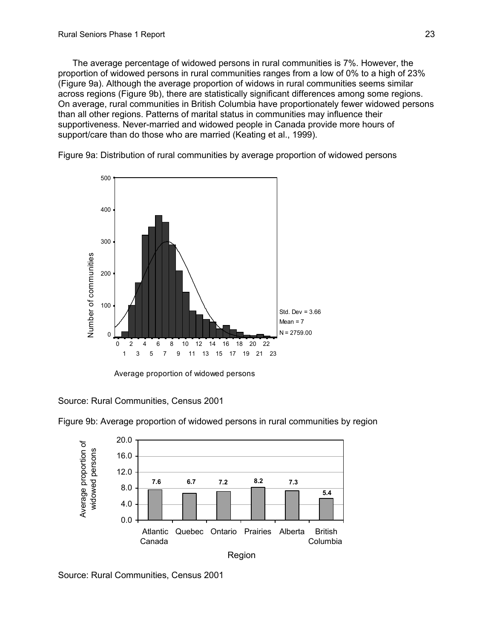The average percentage of widowed persons in rural communities is 7%. However, the proportion of widowed persons in rural communities ranges from a low of 0% to a high of 23% (Figure 9a). Although the average proportion of widows in rural communities seems similar across regions (Figure 9b), there are statistically significant differences among some regions. On average, rural communities in British Columbia have proportionately fewer widowed persons than all other regions. Patterns of marital status in communities may influence their supportiveness. Never-married and widowed people in Canada provide more hours of support/care than do those who are married (Keating et al., 1999).



Figure 9a: Distribution of rural communities by average proportion of widowed persons

Average proportion of widowed persons

Source: Rural Communities, Census 2001



Figure 9b: Average proportion of widowed persons in rural communities by region

Source: Rural Communities, Census 2001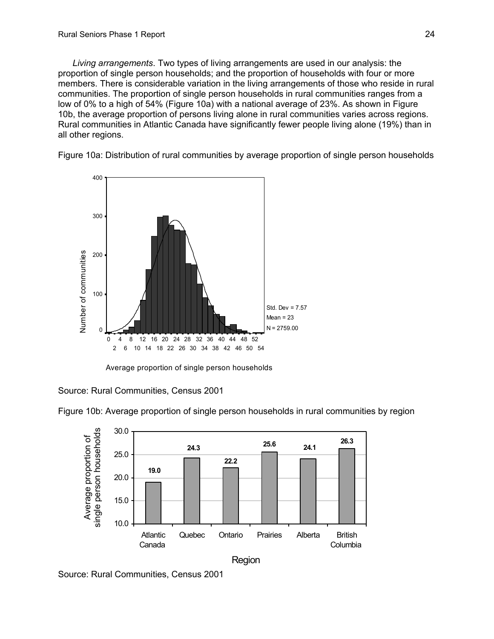*Living arrangements*. Two types of living arrangements are used in our analysis: the proportion of single person households; and the proportion of households with four or more members. There is considerable variation in the living arrangements of those who reside in rural communities. The proportion of single person households in rural communities ranges from a low of 0% to a high of 54% (Figure 10a) with a national average of 23%. As shown in Figure 10b, the average proportion of persons living alone in rural communities varies across regions. Rural communities in Atlantic Canada have significantly fewer people living alone (19%) than in all other regions.

Figure 10a: Distribution of rural communities by average proportion of single person households



Average proportion of single person households

Source: Rural Communities, Census 2001



Figure 10b: Average proportion of single person households in rural communities by region

Source: Rural Communities, Census 2001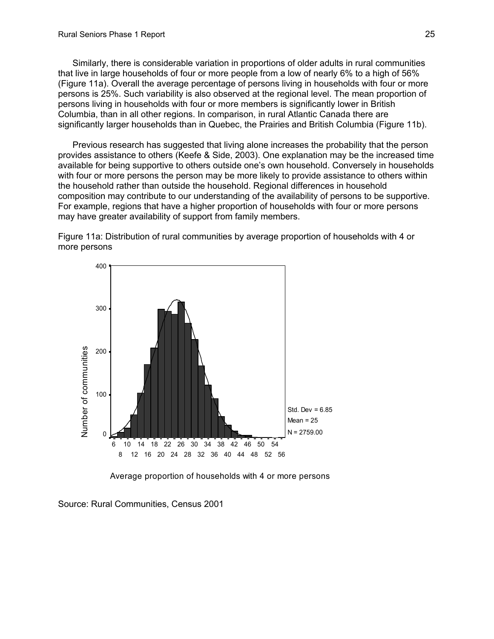Similarly, there is considerable variation in proportions of older adults in rural communities that live in large households of four or more people from a low of nearly 6% to a high of 56% (Figure 11a). Overall the average percentage of persons living in households with four or more persons is 25%. Such variability is also observed at the regional level. The mean proportion of persons living in households with four or more members is significantly lower in British Columbia, than in all other regions. In comparison, in rural Atlantic Canada there are significantly larger households than in Quebec, the Prairies and British Columbia (Figure 11b).

Previous research has suggested that living alone increases the probability that the person provides assistance to others (Keefe & Side, 2003). One explanation may be the increased time available for being supportive to others outside one's own household. Conversely in households with four or more persons the person may be more likely to provide assistance to others within the household rather than outside the household. Regional differences in household composition may contribute to our understanding of the availability of persons to be supportive. For example, regions that have a higher proportion of households with four or more persons may have greater availability of support from family members.

Figure 11a: Distribution of rural communities by average proportion of households with 4 or more persons



Average proportion of households with 4 or more persons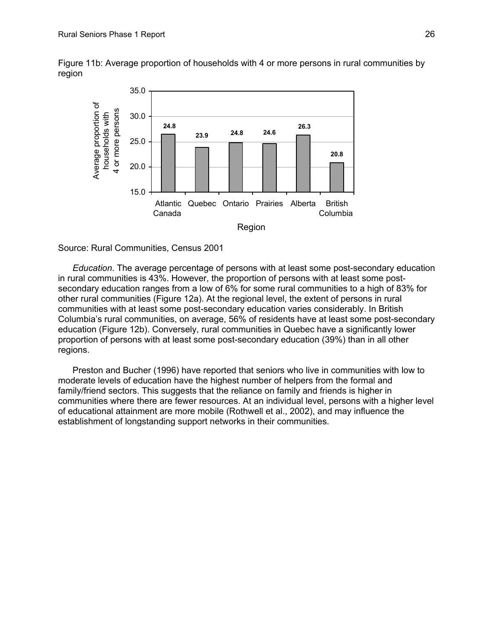Figure 11b: Average proportion of households with 4 or more persons in rural communities by region



#### Source: Rural Communities, Census 2001

*Education*. The average percentage of persons with at least some post-secondary education in rural communities is 43%. However, the proportion of persons with at least some postsecondary education ranges from a low of 6% for some rural communities to a high of 83% for other rural communities (Figure 12a). At the regional level, the extent of persons in rural communities with at least some post-secondary education varies considerably. In British Columbia's rural communities, on average, 56% of residents have at least some post-secondary education (Figure 12b). Conversely, rural communities in Quebec have a significantly lower proportion of persons with at least some post-secondary education (39%) than in all other regions.

Preston and Bucher (1996) have reported that seniors who live in communities with low to moderate levels of education have the highest number of helpers from the formal and family/friend sectors. This suggests that the reliance on family and friends is higher in communities where there are fewer resources. At an individual level, persons with a higher level of educational attainment are more mobile (Rothwell et al., 2002), and may influence the establishment of longstanding support networks in their communities.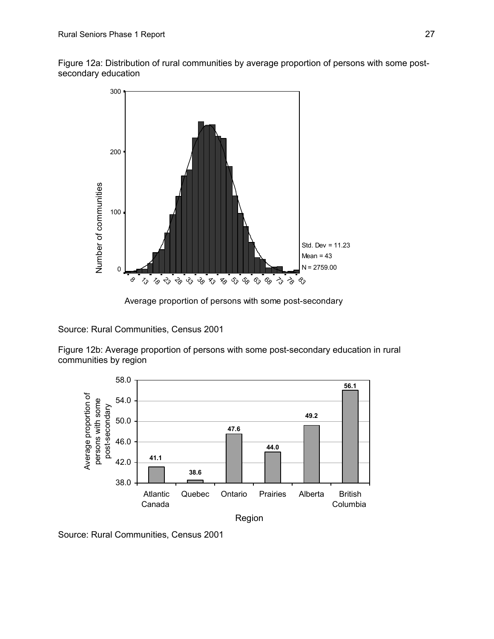Figure 12a: Distribution of rural communities by average proportion of persons with some postsecondary education



Average proportion of persons with some post-secondary

Source: Rural Communities, Census 2001

Figure 12b: Average proportion of persons with some post-secondary education in rural communities by region



Source: Rural Communities, Census 2001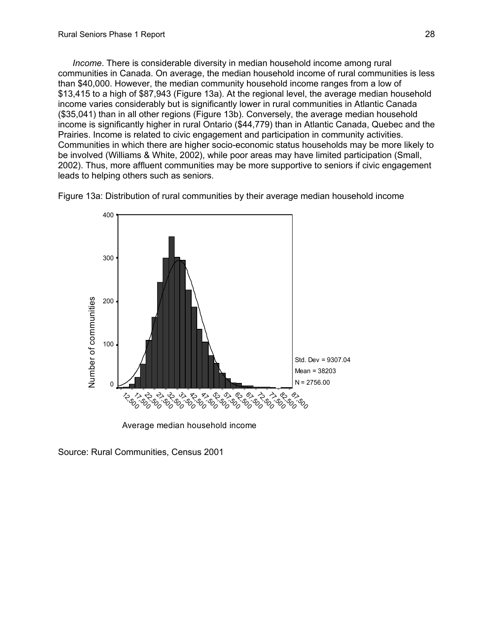*Income*. There is considerable diversity in median household income among rural communities in Canada. On average, the median household income of rural communities is less than \$40,000. However, the median community household income ranges from a low of \$13,415 to a high of \$87,943 (Figure 13a). At the regional level, the average median household income varies considerably but is significantly lower in rural communities in Atlantic Canada (\$35,041) than in all other regions (Figure 13b). Conversely, the average median household income is significantly higher in rural Ontario (\$44,779) than in Atlantic Canada, Quebec and the Prairies. Income is related to civic engagement and participation in community activities. Communities in which there are higher socio-economic status households may be more likely to be involved (Williams & White, 2002), while poor areas may have limited participation (Small, 2002). Thus, more affluent communities may be more supportive to seniors if civic engagement leads to helping others such as seniors.





Source: Rural Communities, Census 2001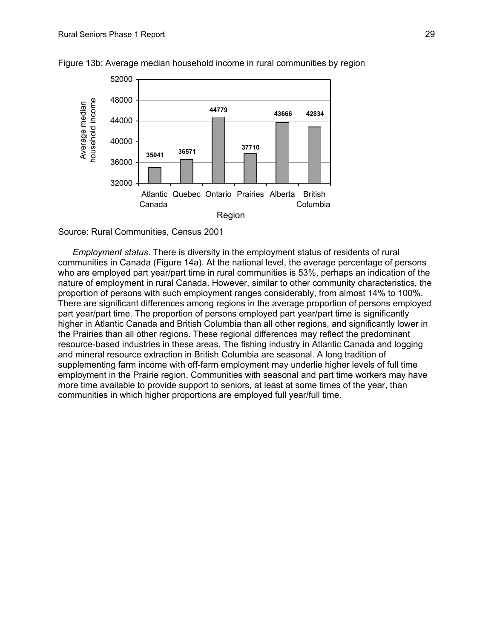

Figure 13b: Average median household income in rural communities by region

Source: Rural Communities, Census 2001

*Employment status*. There is diversity in the employment status of residents of rural communities in Canada (Figure 14a). At the national level, the average percentage of persons who are employed part year/part time in rural communities is 53%, perhaps an indication of the nature of employment in rural Canada. However, similar to other community characteristics, the proportion of persons with such employment ranges considerably, from almost 14% to 100%. There are significant differences among regions in the average proportion of persons employed part year/part time. The proportion of persons employed part year/part time is significantly higher in Atlantic Canada and British Columbia than all other regions, and significantly lower in the Prairies than all other regions. These regional differences may reflect the predominant resource-based industries in these areas. The fishing industry in Atlantic Canada and logging and mineral resource extraction in British Columbia are seasonal. A long tradition of supplementing farm income with off-farm employment may underlie higher levels of full time employment in the Prairie region. Communities with seasonal and part time workers may have more time available to provide support to seniors, at least at some times of the year, than communities in which higher proportions are employed full year/full time.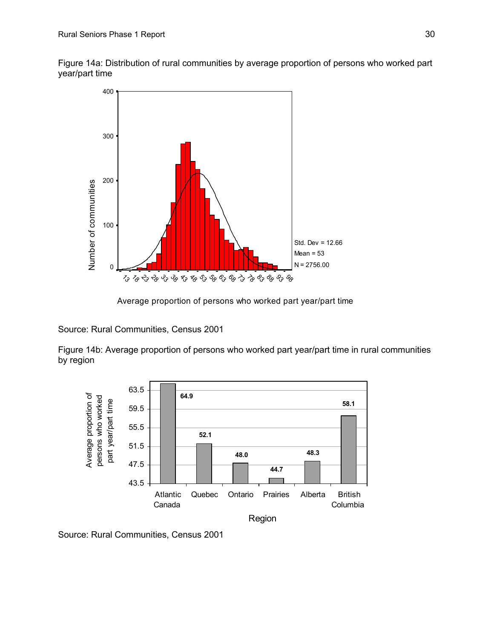Figure 14a: Distribution of rural communities by average proportion of persons who worked part year/part time



Average proportion of persons who worked part year/part time

Source: Rural Communities, Census 2001

Figure 14b: Average proportion of persons who worked part year/part time in rural communities by region



Source: Rural Communities, Census 2001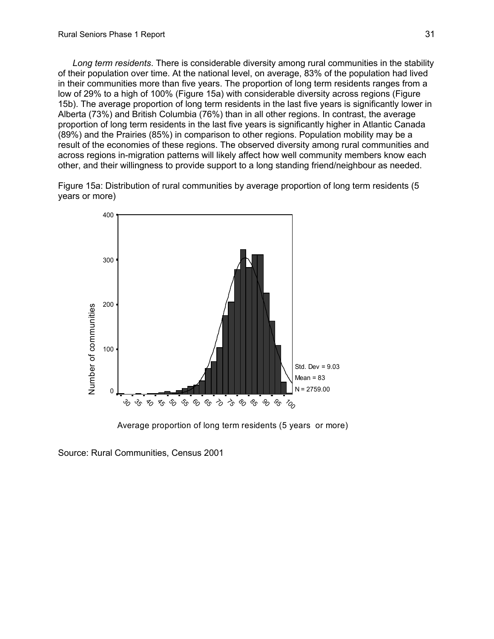*Long term residents*. There is considerable diversity among rural communities in the stability of their population over time. At the national level, on average, 83% of the population had lived in their communities more than five years. The proportion of long term residents ranges from a low of 29% to a high of 100% (Figure 15a) with considerable diversity across regions (Figure 15b). The average proportion of long term residents in the last five years is significantly lower in Alberta (73%) and British Columbia (76%) than in all other regions. In contrast, the average proportion of long term residents in the last five years is significantly higher in Atlantic Canada (89%) and the Prairies (85%) in comparison to other regions. Population mobility may be a result of the economies of these regions. The observed diversity among rural communities and across regions in-migration patterns will likely affect how well community members know each other, and their willingness to provide support to a long standing friend/neighbour as needed.

Figure 15a: Distribution of rural communities by average proportion of long term residents (5 years or more)



Average proportion of long term residents (5 years or more)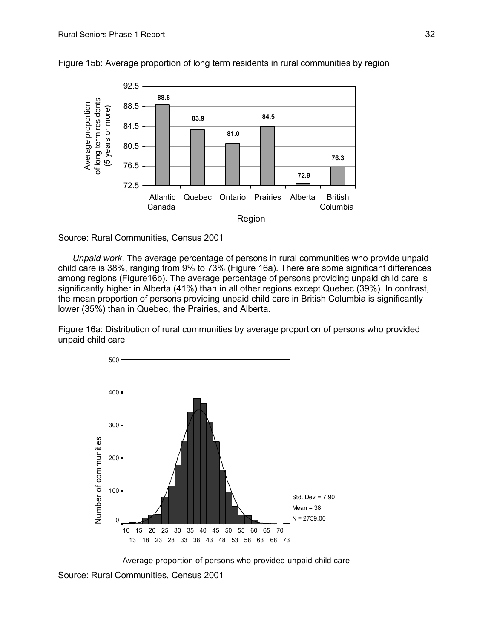

Figure 15b: Average proportion of long term residents in rural communities by region

Source: Rural Communities, Census 2001

*Unpaid work*. The average percentage of persons in rural communities who provide unpaid child care is 38%, ranging from 9% to 73% (Figure 16a). There are some significant differences among regions (Figure16b). The average percentage of persons providing unpaid child care is significantly higher in Alberta (41%) than in all other regions except Quebec (39%). In contrast, the mean proportion of persons providing unpaid child care in British Columbia is significantly lower (35%) than in Quebec, the Prairies, and Alberta.

Figure 16a: Distribution of rural communities by average proportion of persons who provided unpaid child care



Average proportion of persons who provided unpaid child care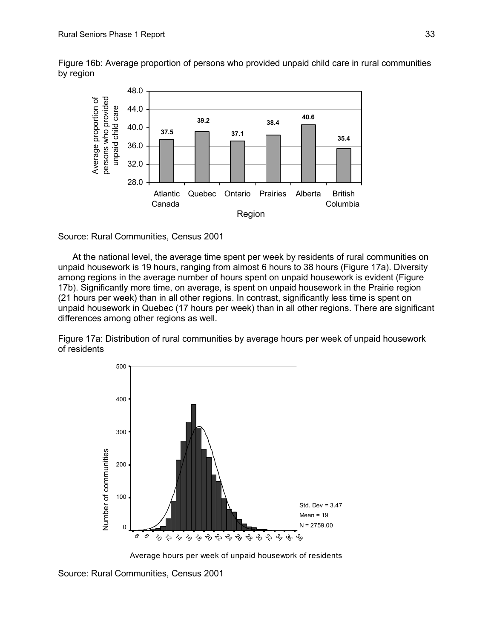Figure 16b: Average proportion of persons who provided unpaid child care in rural communities by region



# Source: Rural Communities, Census 2001

At the national level, the average time spent per week by residents of rural communities on unpaid housework is 19 hours, ranging from almost 6 hours to 38 hours (Figure 17a). Diversity among regions in the average number of hours spent on unpaid housework is evident (Figure 17b). Significantly more time, on average, is spent on unpaid housework in the Prairie region (21 hours per week) than in all other regions. In contrast, significantly less time is spent on unpaid housework in Quebec (17 hours per week) than in all other regions. There are significant differences among other regions as well.

Figure 17a: Distribution of rural communities by average hours per week of unpaid housework of residents



Average hours per week of unpaid housework of residents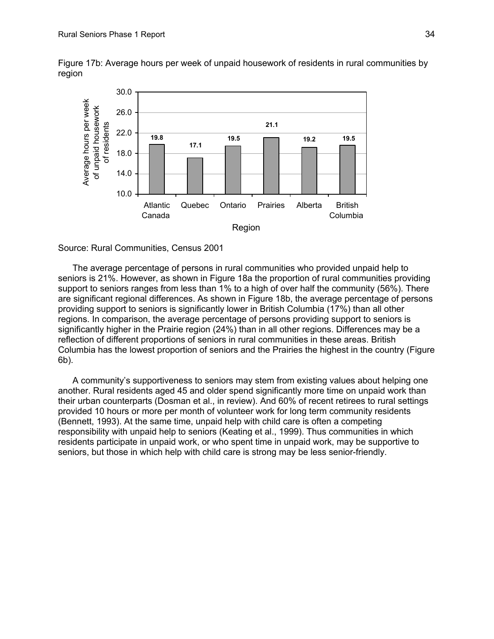30.0 Average hours per week Average hours per week of unpaid housework of unpaid housework 26.0 of residents **21.1** of residents22.0 **19.8 19.5 19.2 19.5 17.1** 18.0 14.0 10.0 Atlantic Quebec Ontario Prairies Alberta British Columbia Canada Region

Figure 17b: Average hours per week of unpaid housework of residents in rural communities by region

#### Source: Rural Communities, Census 2001

The average percentage of persons in rural communities who provided unpaid help to seniors is 21%. However, as shown in Figure 18a the proportion of rural communities providing support to seniors ranges from less than 1% to a high of over half the community (56%). There are significant regional differences. As shown in Figure 18b, the average percentage of persons providing support to seniors is significantly lower in British Columbia (17%) than all other regions. In comparison, the average percentage of persons providing support to seniors is significantly higher in the Prairie region (24%) than in all other regions. Differences may be a reflection of different proportions of seniors in rural communities in these areas. British Columbia has the lowest proportion of seniors and the Prairies the highest in the country (Figure 6b).

A community's supportiveness to seniors may stem from existing values about helping one another. Rural residents aged 45 and older spend significantly more time on unpaid work than their urban counterparts (Dosman et al., in review). And 60% of recent retirees to rural settings provided 10 hours or more per month of volunteer work for long term community residents (Bennett, 1993). At the same time, unpaid help with child care is often a competing responsibility with unpaid help to seniors (Keating et al., 1999). Thus communities in which residents participate in unpaid work, or who spent time in unpaid work, may be supportive to seniors, but those in which help with child care is strong may be less senior-friendly.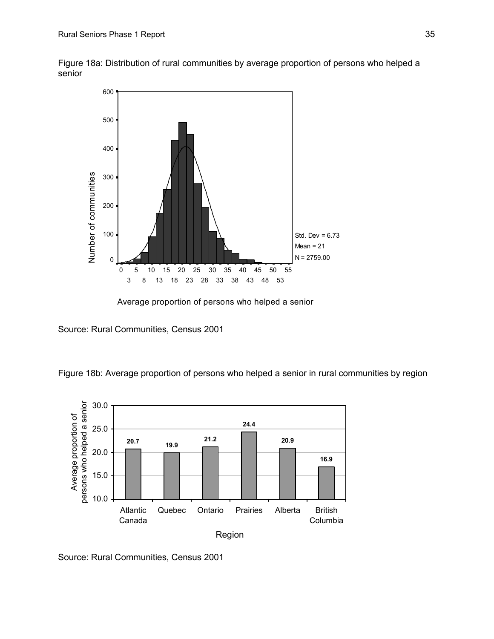Figure 18a: Distribution of rural communities by average proportion of persons who helped a senior



Average proportion of persons who helped a senior

Source: Rural Communities, Census 2001

Figure 18b: Average proportion of persons who helped a senior in rural communities by region



Source: Rural Communities, Census 2001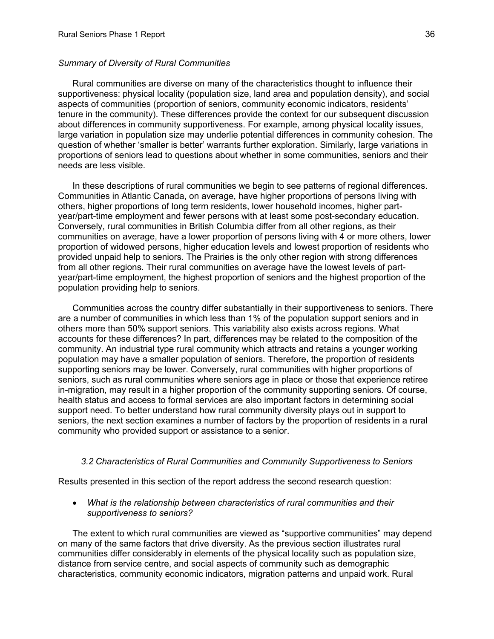## *Summary of Diversity of Rural Communities*

Rural communities are diverse on many of the characteristics thought to influence their supportiveness: physical locality (population size, land area and populatio n density), and social aspects of communities (proportion of seniors, community economic indicators, resid ents' tenure in the community). These differences provide the contex t for our subsequent discussion about differences in community supportiveness. For example, among physical locality issues, large variation in population size may underlie potential differences in community cohesion. The question of whether 'smaller is better' warrants further exploration. Similarly, large variations in proportions of seniors lead to questions about whether in some communities, s eniors and their needs are less visible.

In these descriptions of rural communities we begin to see patterns of re gional differences. Communities in Atlantic Canada, on average, have higher proportions of persons living with others, higher proportions of long term residents, lower household incomes, higher p artyear/part-time employment and fewer persons with at least some post-secondary education. Conversely, rural communities in British Columbia differ from all other regions, as their communities on average, have a lower proportion of persons living with 4 or more others, lower proportion of widowed persons, higher education levels and lowest proportion of resid ents who provided unpaid help to seniors. The Prairies is the only other region with strong differ ences from all other regions. Their rural communities on average have the lowest levels of partyear/part-time employment, the highest proportion of seniors and the highest prop ortion of the population providing help to seniors.

Communities across the country differ substantially in their supportiveness to sen iors. There are a number of communities in which less than 1% of the population support seniors and in others more than 50% support seniors. This variability also exists across regions. What accounts for these differences? In part, differences may be related to the composition of the ommunity. An industrial type rural community which attracts and retains a younger working c population may have a smaller population of seniors. Therefore, the proportion of residents seniors, such as rural communities where seniors age in place or those that experience retiree in-migration, may result in a higher proportion of the community supporting seniors. Of course, health status and access to formal services are also important factors in determining social support need. To better understand how rural community diversity plays out in support to seniors, the next section examines a number of factors by the proportion of residents in a rural community who provided support or assistance to a senior. supporting seniors may be lower. Conversely, rural communities with higher proportions of

# *3.2 Characteristics of Rural Communities and Community Supportiveness to Seniors*

Results presented in this section of the report address the second research question:

# • *What is the relationship between characteristics of rural communities and their supportiveness to seniors?*

The extent to which rural communities are viewed as "supportive communities" may depend on many of the same factors that drive diversity. As the previous section illustrates rural communities differ considerably in elements of the physical locality such as population size, distance from service centre, and social aspects of community such as demographic characteristics, community economic indicators, migration patterns and unpaid work. Rural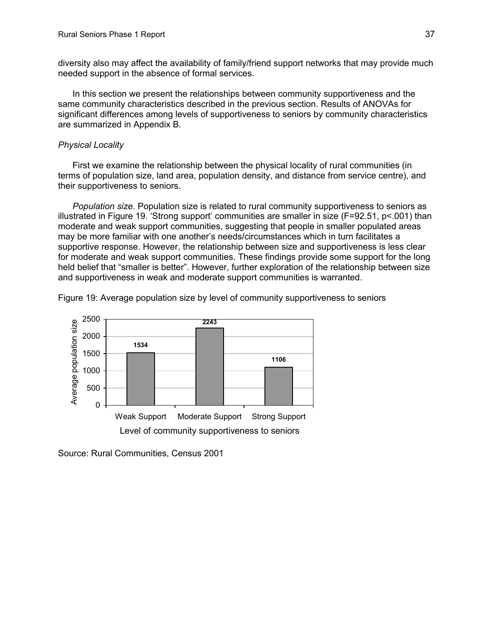diversity also may affect the availability of family/friend support networks that may provide much needed support in the absence of formal services.

In this section we present the relationships between community supportiveness and the same community characteristics described in the previous section. Results of ANOVAs for significant differences among levels of supportiveness to seniors by community characteristics are summarized in Appendix B.

# *Physical Locality*

First we examine the relationship between the physical locality of rural communities (in terms of population size, land area, population density, and distance from service centre), and the ir supportiveness to seniors.

*Population size*. Population size is related to rural community supportiveness to seniors as illustrated in Figure 19. 'Strong support' communities are smaller in size (F=92.51, p<.001) than moderate and weak support communities, suggesting that people in smaller populated areas for moderate and weak support communities. These findings provide some support for the long held belief that "smaller is better". However, further exploration of the relationship between size may be more familiar with one another's needs/circumstances which in turn facilitates a supportive response. However, the relationship between size and supportiveness is less clear and supportiveness in weak and moderate support communities is warranted.

Figure 19: Average population size by level of community supportiveness to seniors



Source: Rural Communities, Census 2001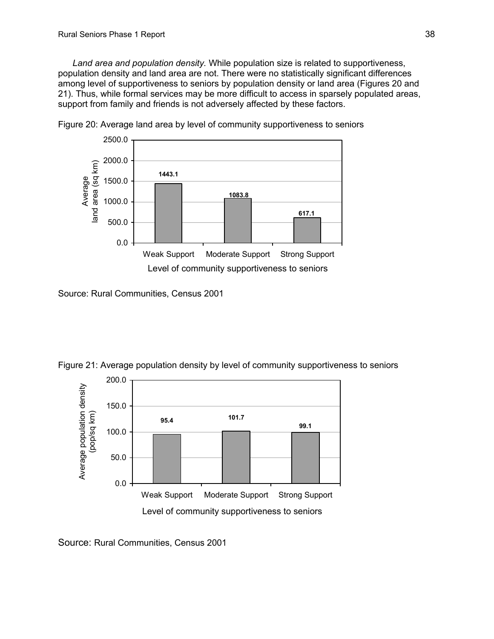*Land area and population density.* While population size is related to supportiveness, population density and land area are not. There were no statistically significant differences among level of supportiveness to seniors by population density or land area (Figures 20 and 21) . Thus, while formal services may be more difficult to access in sparsely populated areas, support from family and friends is not adversely affected by these factors.



Figure 20: Average land area by level of community supportiveness to seniors

Source: Rural Communities, Census 2001



Figure 21: Average population density by level of community supportiveness to seniors

Source: Rural Communities, Census 2001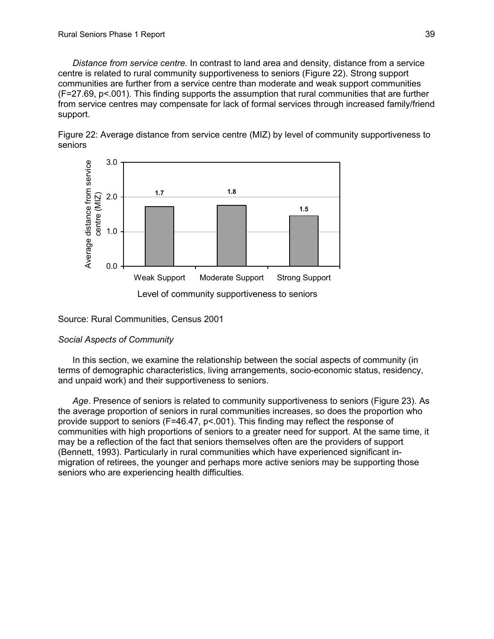Distance from service centre. In contrast to land area and density, distance from a service centre is related to rural community supportiveness to seniors (Figure 22). Strong support communities are further from a service centre than moderate and weak support communities (F=27.69, p<.001). This finding supports the assumption that rural communities that are furthe r from service centres may compensate for lack of formal services through in creased family/friend support.





Level of community supportiveness to seniors

Source: Rural Communities, Census 2001

# Social Aspects of Community

In this section, we examine the relationship between the social aspects of community (in terms of demographic characteristics, living arrangements, socio-economic status, residency, and unpaid work) and their supportiveness to seniors.

Age. Presence of seniors is related to community supportiveness to seniors (Figure 23). As the average proportion of seniors in rural communities increases, so does the pro portion who provide support to seniors (F=46.47, p<.001). This finding may reflect the respon se of communities with high proportions of seniors to a greater need for support. At the same time, it may be a reflection of the fact that seniors themselves often are the providers of support (Bennett, 1993). Particularly in rural communities which have experienced significant inmigration of retirees, the younger and perhaps more active seniors may be supporting those seniors who are experiencing health difficulties.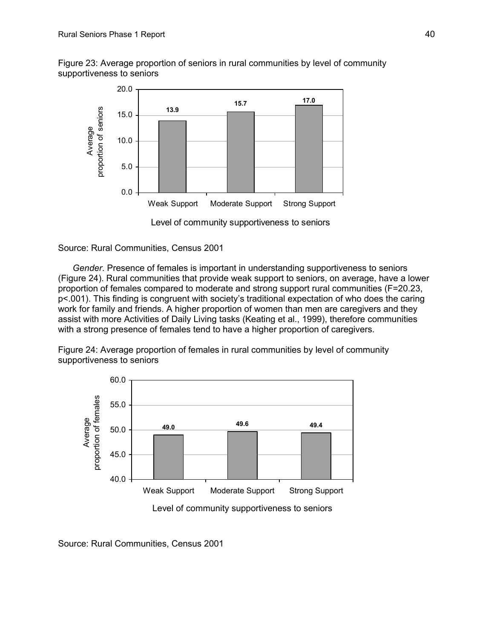Figure 23: Average proportion of seniors in rural communities by level of community supportiveness to seniors



Level of community supportiveness to seniors

Source: Rural Communities, Census 2001

Gender. Presence of females is important in understanding supportiveness to seniors (Figure 24). Rural communities that provide weak support to seniors, on average, have a lower p<.001). This finding is congruent with society's traditional expectation of who does the caring assist with more Activities of Daily Living tasks (Keating et al., 1999), therefore communities with a strong presence of females tend to have a higher proportion of caregivers. proportion of females compared to moderate and strong support rural communities (F=20.23, work for family and friends. A higher proportion of women than men are caregivers and they

Figure 24: Average proportion of females in rural communities by level of community supportiveness to seniors



Source: Rural Communities, Census 2001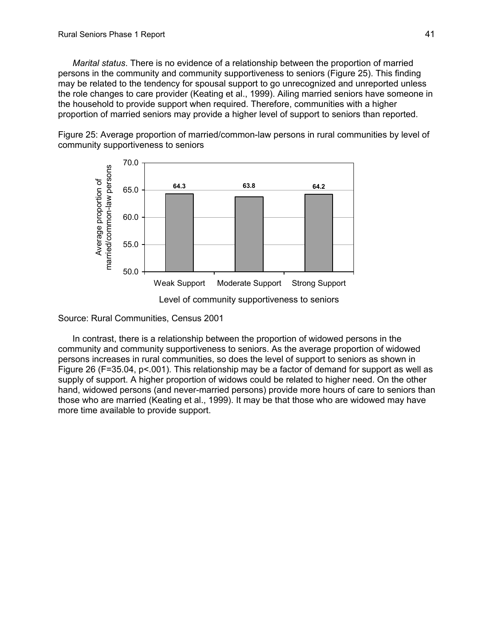*Marital status*. There is no evidence of a relationship between the proportion of married persons in the community and community supportiveness to seniors (Figure 25). This findin g may be related to the tendency for spousal support to go unrecognized and unreported unless the role changes to care provider (Keating et al., 1999). Ailing married seniors have someone in the household to provide support when required. Therefore, communities with a higher proportion of married seniors may provide a higher level of support to seniors than reported.

community supportiveness to seniors Figure 25: Average proportion of married/common-law persons in rural communities by level of



Level of community supportiveness to seniors

Source: Rural Communities, Census 2001

In contrast, there is a relationship between the proportion of widowed persons in the ommunity and community supportiveness to seniors. As the average proportion of widowed c per sons increases in rural communities, so does the level of support to seniors as shown in Figure 26 (F=35.04, p<.001). This relationship may be a factor of demand for support as well as supply of support. A higher proportion of widows could be related to higher need. On the other hand, widowed persons (and never-married persons) provide more hours of care to seniors than tho se who are married (Keating et al., 1999). It may be that those who are widowed may have more time available to provide support.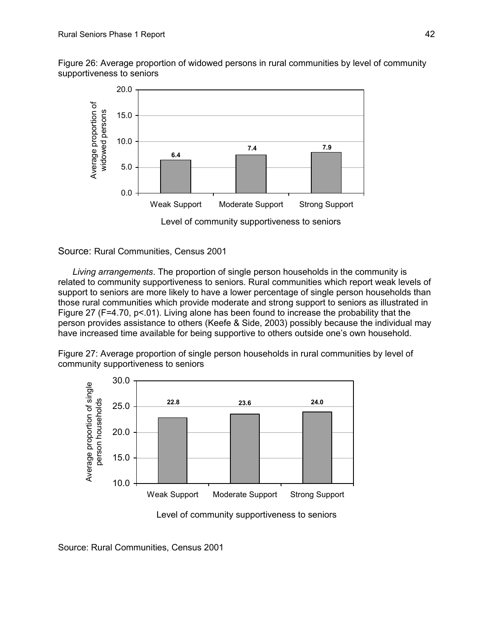Figure 26: Average proportion of widowed persons in rural communities by level of co mmunity supportiveness to seniors



Source: Rural Communities, Census 2001

person provides assistance to others (Keefe & Side, 2003) possibly because the individual may have increased time available for being supportive to others outside one's own household. *Living arrangements*. The proportion of single person households in the community is related to community supportiveness to seniors. Rural communities which report weak levels of support to seniors are more likely to have a lower percentage of single person households than those rural communities which provide moderate and strong support to seniors as illustrated in Figure 27 (F=4.70,  $p < 01$ ). Living alone has been found to increase the probability that the

Figure 27: Average proportion of single person households in rural communities by level of community supportiveness to seniors



Level of community supportiveness to seniors

Source: Rural Communities, Census 2001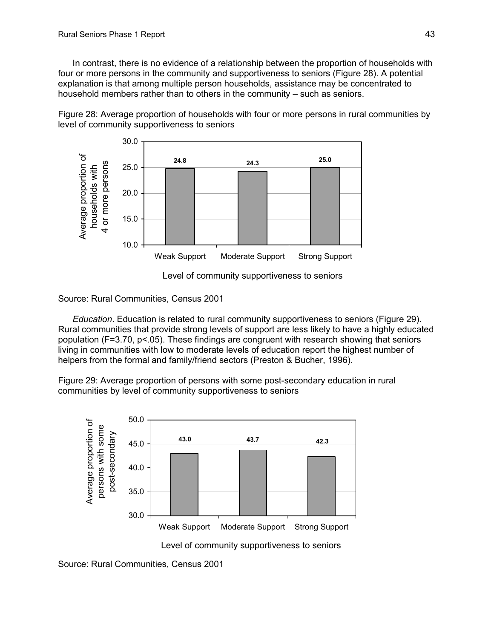In contrast, there is no evidence of a relationship between the proportion of households with four or more persons in the community and supportiveness to seniors (Figure 28). A potential explanation is that among multiple person households, assistance may be concentrated to household members rather than to others in the community – such as seniors.

Figure 28: Average proportion of households with four or more persons in rural communities b y level of community supportiveness to seniors



Level of community supportiveness to seniors

Source: Rural Communities, Census 2001

*Education*. Education is related to rural community supportiveness to seniors (Figure 29). Rural communities that provide strong levels of support are less likely to have a highly educated population (F=3.70, p<.05). These findings are congruent with research showing that seniors living in communities with low to moderate levels of education report the highest number of helpers from the formal and family/friend sectors (Preston & Bucher, 1996).

Figure 29: Average proportion of persons with some post-secondary education in rural communities by level of community supportiveness to seniors



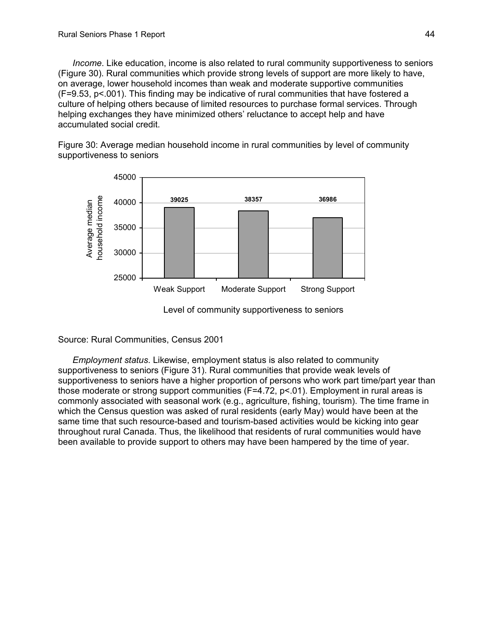*Income*. Like education, income is also related to rural community supportiveness to seniors (Figure 30). Rural communities which provide strong levels of support are more likely to have,  $(F=9.53, p<.001)$ . This finding may be indicative of rural communities that have fostered a culture of helping others because of limited resources to purchase formal services. Through on average, lower household incomes than weak and moderate supportive communities helping exchanges they have minimized others' reluctance to accept help and have accumulated social credit.

Figure 30: Average median household income in rural communities by level of community supportiveness to seniors



Level of community supportiveness to seniors

Source: Rural Communities, Census 2001

*Employment status.* Likewise, employment status is also related to community supportiveness to seniors have a higher proportion of persons who work part time/part year than which the Census question was asked of rural residents (early May) would have been at the same time that such resource-based and tourism-based activities would be kicking into gear been available to provide support to others may have been hampered by the time of year. supportiveness to seniors (Figure 31). Rural communities that provide weak levels of those moderate or strong support communities (F=4.72, p<.01). Employment in rural areas is commonly associated with seasonal work (e.g., agriculture, fishing, tourism). The time frame in throughout rural Canada. Thus, the likelihood that residents of rural communities would have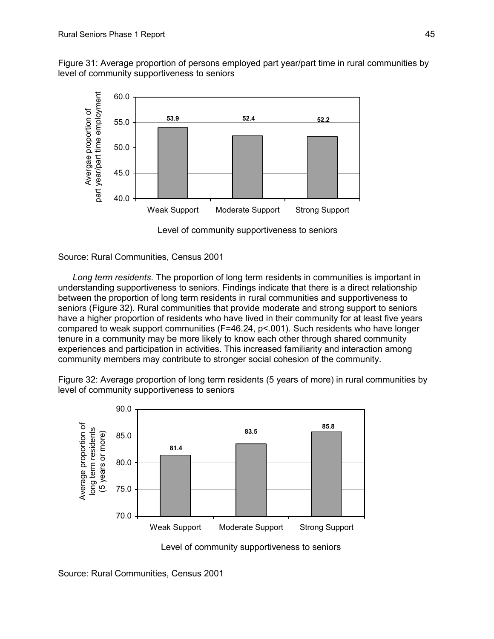Fig ure 31: Average proportion of persons employed part year/part time in rural communities by level of community supportiveness to seniors



Level of community supportiveness to seniors

Source: Rural Communities, Census 2001

Long term residents. The proportion of long term residents in communities is important in understanding supportiveness to seniors. Findings indicate that there is a direct relationship between the proportion of long term residents in rural communities and supportiveness to seniors (Figure 32). Rural communities that provide moderate and strong support to seniors hav e a higher proportion of residents who have lived in their community for at least five years community members may contribute to stronger social cohesion of the community. compared to weak support communities (F=46.24, p<.001). Such residents who have longer tenure in a community may be more likely to know each other through shared community experiences and participation in activities. This increased familiarity and interaction among

Figure 32: Average proportion of long term residents (5 years of more) in rural communities by



Level of community supportiveness to seniors

Source: Rural Communities, Census 2001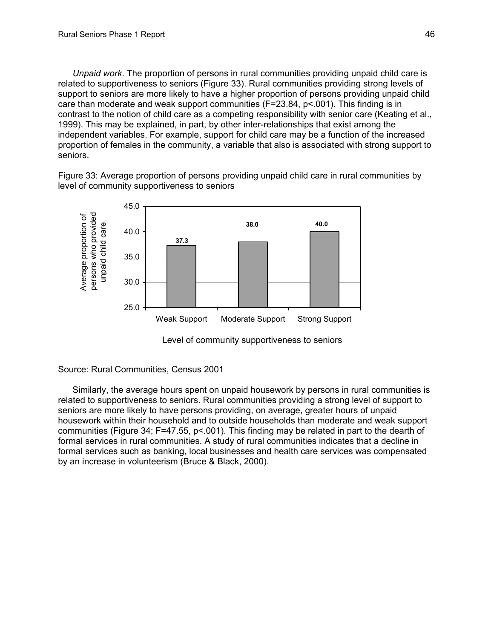*Unpaid work*. The proportion of persons in rural communities providing unpaid child care is related to supportiveness to seniors (Figure 33). Rural communities providing strong level s of support to seniors are more likely to have a higher proportion of persons providing unpaid c hild care than moderate and weak support communities  $(F=23.84, p<.001)$ . This finding is in contrast to the notion of child care as a competing responsibility with senior care (Ke ating et al., 1999). This may be explained, in part, by other inter-relationships that exist among the independent variables. For example, support for child care may be a function of the increased proportion of females in the community, a variable that also is associated with strong support to seniors.

Figure 33: Average proportion of persons providing unpaid child care in rural communities by level of community supportiveness to seniors





Source: Rural Communities, Census 2001

housework within their household and to outside households than moderate and weak support formal services such as banking, local businesses and health care services was compensated by an increase in volunteerism (Bruce & Black, 2000). Similarly, the average hours spent on unpaid housework by persons in rural communities is related to supportiveness to seniors. Rural communities providing a strong level of support to seniors are more likely to have persons providing, on average, greater hours of unpaid communities (Figure 34; F=47.55, p<.001). This finding may be related in part to the dearth of formal services in rural communities. A study of rural communities indicates that a decline in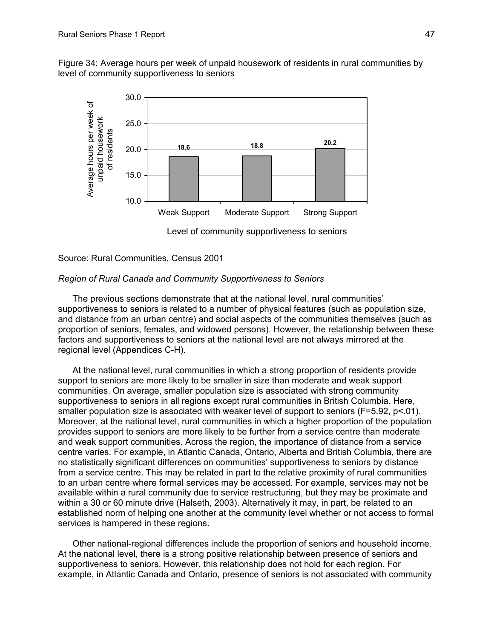Figure 34: Average hours per week of unpaid housework of residents in rural communities by level of community supportiveness to seniors



# *Reg ion of Rural Canada and Community Supportiveness to Seniors*

Source: Rural Communities, Census 2001

supportiveness to seniors is related to a number of physical features (such as population size, and distance from an urban centre) and social aspects of the communities themselves (such as proportion of seniors, females, and widowed persons). However, the relationship between these The previous sections demonstrate that at the national level, rural communities' factors and supportiveness to seniors at the national level are not always mirrored at the regional level (Appendices C-H).

At the national level, rural communities in which a strong proportion of residents provide communities. On average, smaller population size is associated with strong community supportiveness to seniors in all regions except rural communities in British Columbia. Here, smaller population size is associated with weaker level of support to seniors (F=5.92, p<.01). Moreover, at the national level, rural communities in which a higher proportion of the population provides support to seniors are more likely to be further from a service centre than moderate and weak support communities. Across the region, the importance of distance from a service centre varies. For example, in Atlantic Canada, Ontario, Alberta and British Columbia, there are no statistically significant differences on communities' supportiveness to seniors by distance from a service centre. This may be related in part to the relative proximity of rural communities to an urban centre where formal services may be accessed. For example, services may not be available within a rural community due to service restructuring, but they may be proximate and within a 30 or 60 minute drive (Halseth, 2003). Alternatively it may, in part, be related to an established norm of helping one another at the community level whether or not access to formal services is hampered in these regions. support to seniors are more likely to be smaller in size than moderate and weak support

Other national-regional differences include the proportion of seniors and household income. At the national level, there is a strong positive relationship between presence of seniors and supportiveness to seniors. However, this relationship does not hold for each region. For example, in Atlantic Canada and Ontario, presence of seniors is not associated with community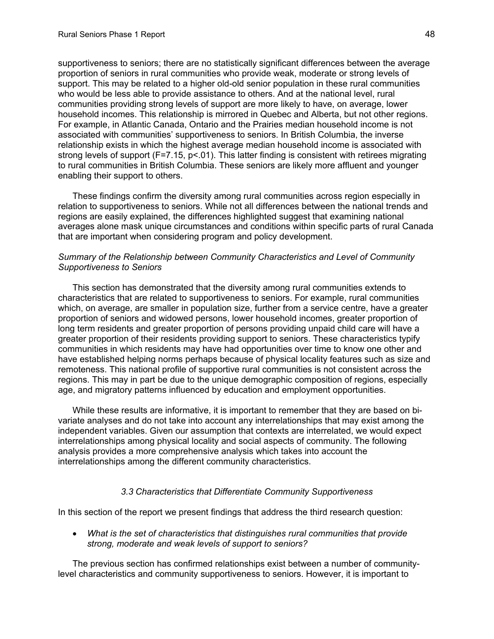supportiveness to seniors; there are no statistically significant differences between the average pro portion of seniors in rural communities who provide weak, moderate or strong levels of For example, in Atlantic Canada, Ontario and the Prairies median household income is not strong levels of support (F=7.15, p<.01). This latter finding is consistent with retirees migrating to rural communities in British Columbia. These seniors are likely more affluent and younger support. This may be related to a higher old-old senior population in these rural communities who would be less able to provide assistance to others. And at the national level, rural communities providing strong levels of support are more likely to have, on average, lower household incomes. This relationship is mirrored in Quebec and Alberta, but not other regions. associated with communities' supportiveness to seniors. In British Columbia, the inverse relationship exists in which the highest average median household income is associated with enabling their support to others.

These findings confirm the diversity among rural communities across region especially in relation to supportiveness to seniors. While not all differences between the national trends and averages alone mask unique circumstances and conditions within specific parts of rural Canada regions are easily explained, the differences highlighted suggest that examining national that are important when considering program and policy development.

#### Summary of the Relationship between Community Characteristics and Level of Community *Supportiveness to Seniors*

characteristics that are related to supportiveness to seniors. For example, rural communities proportion of seniors and widowed persons, lower household incomes, greater proportion of greater proportion of their residents providing support to seniors. These characteristics typify communities in which residents may have had opportunities over time to know one other and have established helping norms perhaps because of physical locality features such as size and remoteness. This national profile of supportive rural communities is not consistent across the regions. This may in part be due to the unique demographic composition of regions, especially age , and migratory patterns influenced by education and employment opportunities. This section has demonstrated that the diversity among rural communities extends to which, on average, are smaller in population size, further from a service centre, have a greater long term residents and greater proportion of persons providing unpaid child care will have a

While these results are informative, it is important to remember that they are based on biinterrelationships among the different community characteristics. variate analyses and do not take into account any interrelationships that may exist among the independent variables. Given our assumption that contexts are interrelated, we would expect interrelationships among physical locality and social aspects of community. The following analysis provides a more comprehensive analysis which takes into account the

# *3.3 Characteristics that Differentiate Community Supportiveness*

In this section of the report we present findings that address the third research question:

• *What is the set of characteristics that distinguishes rural communities that provide strong, moderate and weak levels of support to seniors?* 

The previous section has confirmed relationships exist between a number of communitylevel characteristics and community supportiveness to seniors. However, it is important to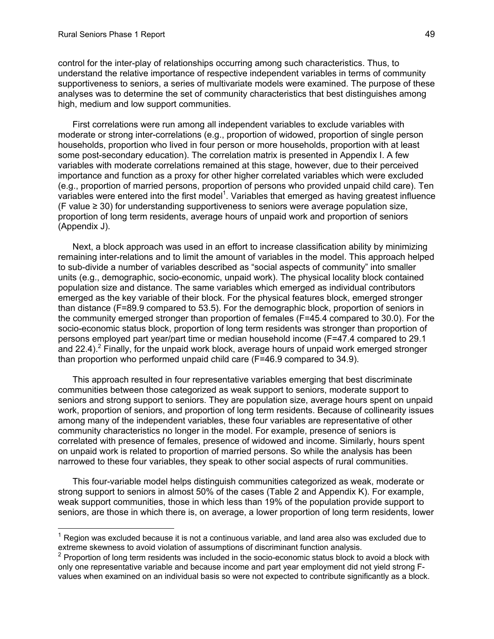control for the inter-play of relationships occurring among such characteristics. Thus, to understand the relative importance of respective independent variables in terms of community supportiveness to seniors, a series of multivariate models were examined. The purpose of these analyses was to determine the set of community characteristics that best distinguishes among high, medium and low support communities.

moderate or strong inter-correlations (e.g., proportion of widowed, proportion of single person households, proportion who lived in four person or more households, proportion with at least some post-secondary education). The correlation matrix is presented in Appendix I. A few variables with moderate correlations remained at this stage, however, due to their perceived (e.g., proportion of married persons, proportion of persons who provided unpaid child care). Ten variables were entered into the first model<sup>[1](#page-51-0)</sup>. Variables that emerged as having greatest influence  $(F$  value  $\geq$  30) for understanding supportiveness to seniors were average population size, proportion of long term residents, average hours of unpaid work and proportion of seniors First correlations were run among all independent variables to exclude variables with importance and function as a proxy for other higher correlated variables which were excluded (Appendix J).

Next, a block approach was used in an effort to increase classification ability by minimizing remaining inter-relations and to limit the amount of variables in the model. This approach helped to sub-divide a number of variables described as "social aspects of community" into smaller units (e.g., demographic, socio-economic, unpaid work). The physical locality block contained population size and distance. The same variables which emerged as individual contributors emerged as the key variable of their block. For the physical features block, emerged stronger persons employed part year/part time or median household income (F=47.4 compared to 29.1 and [2](#page-51-1)2.4).<sup>2</sup> Finally, for the unpaid work block, average hours of unpaid work emerged stronger than proportion who performed unpaid child care (F=46.9 compared to 34.9). than distance (F=89.9 compared to 53.5). For the demographic block, proportion of seniors in the community emerged stronger than proportion of females (F=45.4 compared to 30.0). For the socio-economic status block, proportion of long term residents was stronger than proportion of

This approach resulted in four representative variables emerging that best discriminate o communities between those categorized as weak support to seniors, moderate support t seniors and strong support to seniors. They are population size, average hours spent on unpaid work, proportion of seniors, and proportion of long term residents. Because of collinearity issues among many of the independent variables, these four variables are representative of other community characteristics no longer in the model. For example, presence of seniors is correlated with presence of females, presence of widowed and income. Similarly, hours spent on unpaid work is related to proportion of married persons. So while the analysis has been narrowed to these four variables, they speak to other social aspects of rural communities.

weak support communities, those in which less than 19% of the population provide support to This four-variable model helps distinguish communities categorized as weak, moderate or strong support to seniors in almost 50% of the cases (Table 2 and Appendix K). For example, seniors, are those in which there is, on average, a lower proportion of long term residents, lower

<span id="page-51-0"></span><sup>————————————————————&</sup>lt;br><sup>1</sup> Region was excluded because it is not a continuous variable, and land area also was excluded due to extr eme skewness to avoid violation of assumptions of discriminant function analysis.

<span id="page-51-1"></span> $2$  Proportion of long term residents was included in the socio-economic status block to avoid a block with only one representative variable and because income and part year employment did not yield strong Fvalues when examined on an individual basis so were not expected to contribute significantly as a block.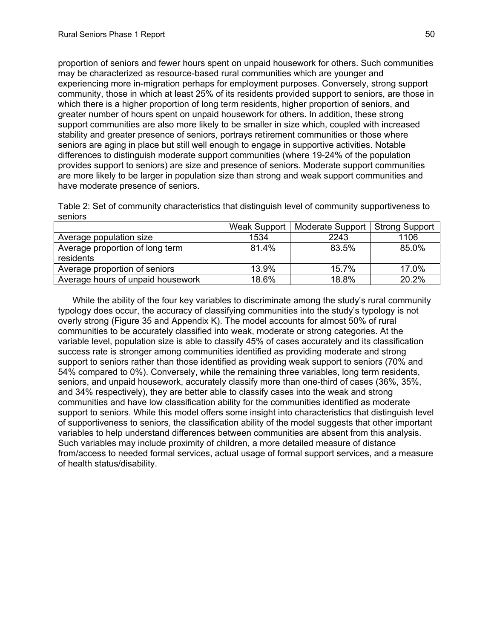proportion of seniors and fewer hours spent on unpaid housework for others. Such communities may be characterized as resource-based rural communities which are younger and experiencing more in-migration perhaps for employment purposes. Conversely, strong suppor t community, those in which at least 25% of its residents provided support to seniors, are those in which there is a higher proportion of long term residents, higher proportion of seniors, and greater number of hours spent on unpaid housework for others. In addition, these strong support communities are also more likely to be smaller in size which, coupled with increased stability and greater presence of seniors, portrays retirement communities or those where seniors are aging in place but still well enough to engage in supportive activities. Notable differences to distinguish moderate support communities (where 19-24% of the population provides support to seniors) are size and presence of seniors. Moderate support communities are more likely to be larger in population size than strong and weak support communities and have moderate presence of seniors.

Table 2: Set of community characteristics that distinguish level of community supportiveness to seniors

|                                              | Weak Support | Moderate Support   Strong Support |       |
|----------------------------------------------|--------------|-----------------------------------|-------|
| Average population size                      | 1534         | 2243                              | 1106  |
| Average proportion of long term<br>residents | 81.4%        | 83.5%                             | 85.0% |
| Average proportion of seniors                | 13.9%        | 15.7%                             | 17.0% |
| Average hours of unpaid housework            | 18.6%        | 18.8%                             | 20.2% |

While the ability of the four key variables to discriminate among the study's rural community communities and have low classification ability for the communities identified as moderate support to seniors. While this model offers some insight into characteristics that distinguish level of supportiveness to seniors, the classification ability of the model suggests that other important from/access to needed formal services, actual usage of formal support services, and a measure typology does occur, the accuracy of classifying communities into the study's typology is not overly strong (Figure 35 and Appendix K). The model accounts for almost 50% of rural communities to be accurately classified into weak, moderate or strong categories. At the variable level, population size is able to classify 45% of cases accurately and its classification success rate is stronger among communities identified as providing moderate and strong support to seniors rather than those identified as providing weak support to seniors (70% and 54% compared to 0%). Conversely, while the remaining three variables, long term residents, seniors, and unpaid housework, accurately classify more than one-third of cases (36%, 35%, and 34% respectively), they are better able to classify cases into the weak and strong variables to help understand differences between communities are absent from this analysis. Such variables may include proximity of children, a more detailed measure of distance of health status/disability.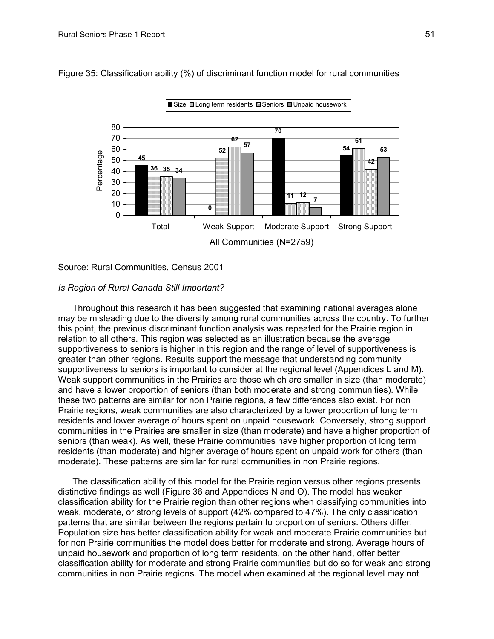

Figure 35: Classification ability (%) of discriminant function model for rural communities

Source: Rural Communities, Census 2001

### *Is Region of Rural Canada Still Important?*

greater than other regions. Results support the message that understanding community supportiveness to seniors is important to consider at the regional level (Appendices L and M). Weak support communities in the Prairies are those which are smaller in size (than moderate) and have a lower proportion of seniors (than both moderate and strong communities). While residents and lower average of hours spent on unpaid housework. Conversely, strong support communities in the Prairies are smaller in size (than moderate) and have a higher proportion of residents (than moderate) and higher average of hours spent on unpaid work for others (than Throughout this research it has been suggested that examining national averages alone may be misleading due to the diversity among rural communities across the country. To further this point, the previous discriminant function analysis was repeated for the Prairie region in relation to all others. This region was selected as an illustration because the average supportiveness to seniors is higher in this region and the range of level of supportiveness is these two patterns are similar for non Prairie regions, a few differences also exist. For non Prairie regions, weak communities are also characterized by a lower proportion of long term seniors (than weak). As well, these Prairie communities have higher proportion of long term moderate). These patterns are similar for rural communities in non Prairie regions.

patterns that are similar between the regions pertain to proportion of seniors. Others differ. The classification ability of this model for the Prairie region versus other regions presents distinctive findings as well (Figure 36 and Appendices N and O). The model has weaker classification ability for the Prairie region than other regions when classifying communities into weak, moderate, or strong levels of support (42% compared to 47%). The only classification Population size has better classification ability for weak and moderate Prairie communities but for non Prairie communities the model does better for moderate and strong. Average hours of unpaid housework and proportion of long term residents, on the other hand, offer better classification ability for moderate and strong Prairie communities but do so for weak and strong communities in non Prairie regions. The model when examined at the regional level may not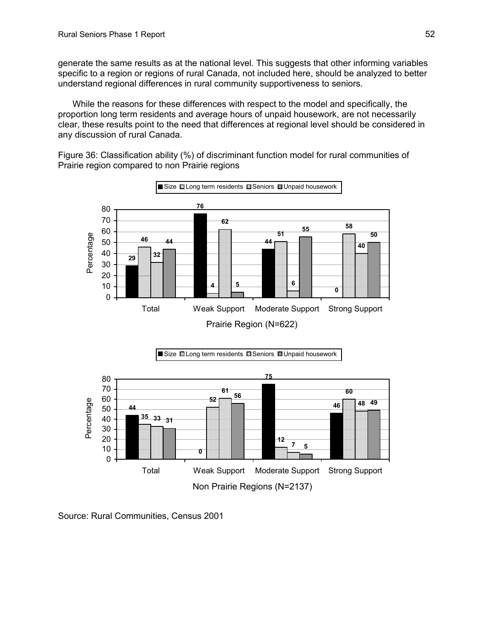generate the same results as at the national level. This suggests that other informing variables specific to a region or regions of rural Canada, not included here, should be analyzed to better understand regional differences in rural community supportiveness to seniors.

While the reasons for these differences with respect to the model and specifically, the proportion long term residents and average hours of unpaid housework, are not necessar ily clear, these results point to the need that differences at regional level should be considered in any discussion of rural Canada.

Figure 36: Classification ability (%) of discriminant function model for rural communities of Prairie region compared to non Prairie regions





Source: Rural Communities, Census 2001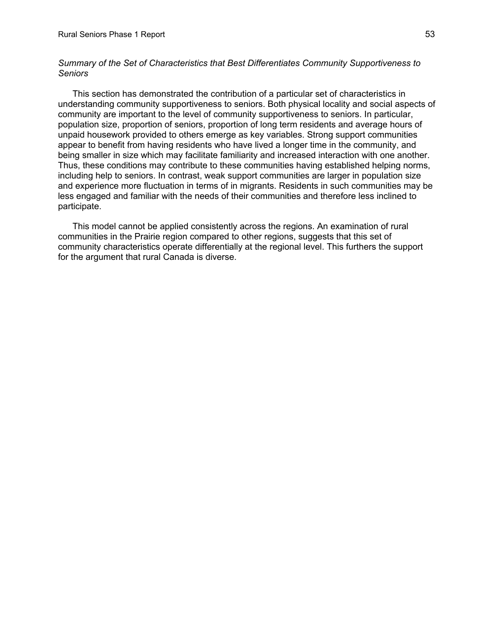# *Summary of the Set of Characteristics that Best Differentiates Community Supportiveness to Seniors*

understanding community supportiveness to seniors. Both physical locality and social aspects of omm unity are important to the level of community supportiveness to seniors. In particular, c population size, proportion of seniors, proportion of long term residents and average hours of unpaid housework provided to others emerge as key variables. Strong support communities appear to benefit from having residents who have lived a longer time in the community, and including h elp to seniors. In contrast, weak support communities are larger in population size This section has demonstrated the contribution of a particular set of characteristics in being smaller in size which may facilitate familiarity and increased interaction with one another. Thus, these conditions may contribute to these communities having established helping norms, and experience more fluctuation in terms of in migrants. Residents in such communities may be less engaged and familiar with the needs of their communities and therefore less inclined to participate.

This model cannot be applied consistently across the regions. An examination of rural communities in the Prairie region compared to other regions, suggests that this set of community characteristics operate differentially at the regional level. This furthers the support for the argument that rural Canada is diverse.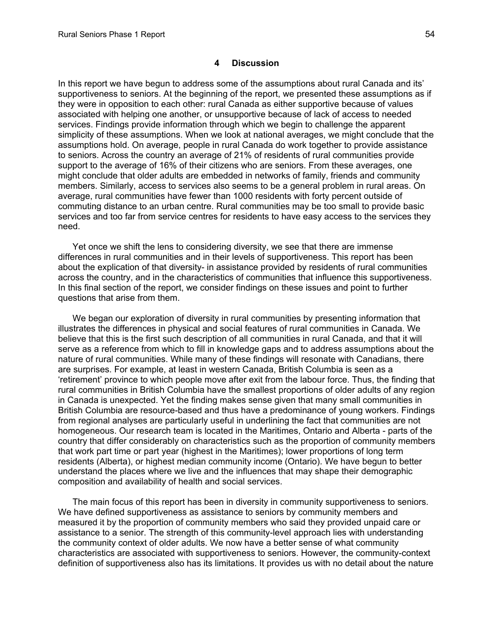In this report we have begun to address some of the assumptions about rural Canada and its' supportiveness to seniors. At the beginning of the report, we presented these assumptions as if the y were in opposition to each other: rural Canada as either supportive because of values simplicity of these assumptions. When we look at national averages, we might conclude that the assumptions hold. On average, people in rural Canada do work together to provide assistance support to the average of 16% of their citizens who are seniors. From these averages, one might conclude that older adults are embedded in networks of family, friends and community services and too far from service centres for residents to have easy access to the services they associated with helping one another, or unsupportive because of lack of access to needed services. Findings provide information through which we begin to challenge the apparent to seniors. Across the country an average of 21% of residents of rural communities provide members. Similarly, access to services also seems to be a general problem in rural areas. On average, rural communities have fewer than 1000 residents with forty percent outside of commuting distance to an urban centre. Rural communities may be too small to provide basic need.

across the country, and in the characteristics of communities that influence this supportiveness. In this final section of the report, we consider findings on these issues and point to further Yet once we shift the lens to considering diversity, we see that there are immense differences in rural communities and in their levels of supportiveness. This report has been about the explication of that diversity- in assistance provided by residents of rural communities questions that arise from them.

illustrates the differences in physical and social features of rural communities in Canada. We believe that this is the first such description of all communities in rural Canada, and that it will serve as a reference from which to fill in knowledge gaps and to address assumptions about the 'retirement' province to which people move after exit from the labour force. Thus, the finding that rural communities in British Columbia have the smallest proportions of older adults of any region in Canada is unexpected. Yet the finding makes sense given that many small communities in country that differ considerably on characteristics such as the proportion of community members We began our exploration of diversity in rural communities by presenting information that nature of rural communities. While many of these findings will resonate with Canadians, there are surprises. For example, at least in western Canada, British Columbia is seen as a British Columbia are resource-based and thus have a predominance of young workers. Findings from regional analyses are particularly useful in underlining the fact that communities are not homogeneous. Our research team is located in the Maritimes, Ontario and Alberta - parts of the that work part time or part year (highest in the Maritimes); lower proportions of long term residents (Alberta), or highest median community income (Ontario). We have begun to better understand the places where we live and the influences that may shape their demographic composition and availability of health and social services.

We have defined supportiveness as assistance to seniors by community members and measured it by the proportion of community members who said they provided unpaid care or assistance to a senior. The strength of this community-level approach lies with understanding the community context of older adults. We now have a better sense of what community haracteristics are associated with supportiveness to seniors. However, the community-context c definition of supportiveness also has its limitations. It provides us with no detail about the nature The main focus of this report has been in diversity in community supportiveness to seniors.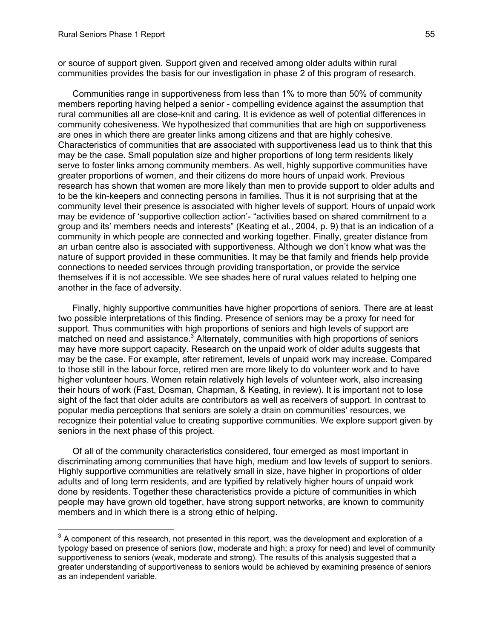-

or source of support given. Support given and received among older adults within rural communities provides the basis for our investigation in phase 2 of this program of research.

Communities range in supportiveness from less than 1% to more than 50% of community rural communities all are close-knit and caring. It is evidence as well of potential differences in Characteristics of communities that are associated with supportiveness lead us to think that this community level their presence is associated with higher levels of support. Hours of unpaid work may be evidence of 'supportive collection action'- "activities based on shared commitment to a group and its' members needs and interests" (Keating et al., 2004, p. 9) that is an indication of a community in which people are connected and working together. Finally, greater distance from nature of support provided in these communities. It may be that family and friends help provide connections to needed services through providing transportation, or provide the service themselves if it is not accessible. We see shades here of rural values related to helping one another in the face of adversity. members reporting having helped a senior - compelling evidence against the assumption that community cohesiveness. We hypothesized that communities that are high on supportiveness are ones in which there are greater links among citizens and that are highly cohesive. may be the case. Small population size and higher proportions of long term residents likely serve to foster links among community members. As well, highly supportive communities have greater proportions of women, and their citizens do more hours of unpaid work. Previous research has shown that women are more likely than men to provide support to older adults and to be the kin-keepers and connecting persons in families. Thus it is not surprising that at the an urban centre also is associated with supportiveness. Although we don't know what was the

Finally, highly supportive communities have higher proportions of seniors. There are at least two possible interpretations of this finding. Presence of seniors may be a proxy for need for support. Thus communities with high proportions of seniors and high levels of support are matched on need and assistance.<sup>[3](#page-57-0)</sup> Alternately, communities with high proportions of seniors may have more support capacity. Research on the unpaid work of older adults suggests that may be the case. For example, after retirement, levels of unpaid work may increase. Compared to those still in the labour force, retired men are more likely to do volunteer work and to have higher volunteer hours. Women retain relatively high levels of volunteer work, also increasing their hours of work (Fast, Dosman, Chapman, & Keating, in review). It is important not to lose sight of the fact that older adults are contributors as well as receivers of support. In contrast to popular media perceptions that seniors are solely a drain on communities' resources, we recognize their potential value to creating supportive communities. We explore support given by seniors in the next phase of this project.

Of all of the community characteristics considered, four emerged as most important in discriminating among communities that have high, medium and low levels of support to seniors. Highly supportive communities are relatively small in size, have higher in proportions of older adults and of long term residents, and are typified by relatively higher hours of unpaid work done by residents. Together these characteristics provide a picture of communities in which people may have grown old together, have strong support networks, are known to community members and in which there is a strong ethic of helping.

<span id="page-57-0"></span> $3$  A component of this research, not presented in this report, was the development and exploration of a typology based on presence of seniors (low, moderate and high; a proxy for need) and level of community supportiveness to seniors (weak, moderate and strong). The results of this analysis suggested that a greater understanding of supportiveness to seniors would be achieved by examining presence of seniors as an independent variable.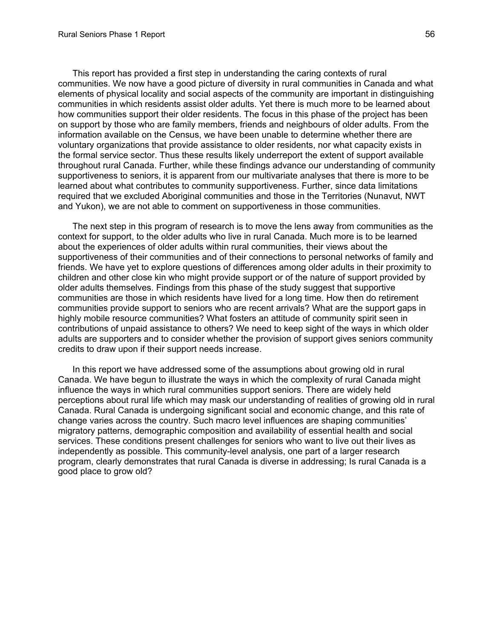This report has provided a first step in understanding the caring contexts of rural communities. We now have a good picture of diversity in rural communities in Canada and what communities in which residents assist older adults. Yet there is much more to be learned about how communities support their older residents. The focus in this phase of the project has been on support by those who are family members, friends and neighbours of older adults. From the the formal service sector. Thus these results likely underreport the extent of support available throughout rural Canada. Further, while these findings advance our understanding of community supportiveness to seniors, it is apparent from our multivariate analyses that there is more to be required that we excluded Aboriginal communities and those in the Territories (Nunavut, NWT elements of physical locality and social aspects of the community are important in distinguishing information available on the Census, we have been unable to determine whether there are voluntary organizations that provide assistance to older residents, nor what capacity exists in learned about what contributes to community supportiveness. Further, since data limitations and Yukon), we are not able to comment on supportiveness in those communities.

The next step in this program of research is to move the lens away from communities as the context for support, to the older adults who live in rural Canada. Much more is to be learned abo ut the experiences of older adults within rural communities, their views about the supportiveness of their communities and of their connections to personal networks of family and communities are those in which residents have lived for a long time. How then do retirement communities provide support to seniors who are recent arrivals? What are the support gaps in hig hly mobile resource communities? What fosters an attitude of community spirit seen in contributions of unpaid assistance to others? We need to keep sight of the ways in which older adults are supporters and to consider whether the provision of support gives seniors community friends. We have yet to explore questions of differences among older adults in their proximity to children and other close kin who might provide support or of the nature of support provided by older adults themselves. Findings from this phase of the study suggest that supportive credits to draw upon if their support needs increase.

In this report we have addressed some of the assumptions about growing old in rural perceptions about rural life which may mask our understanding of realities of growing old in rural Canada. We have begun to illustrate the ways in which the complexity of rural Canada might influence the ways in which rural communities support seniors. There are widely held Canada. Rural Canada is undergoing significant social and economic change, and this rate of change varies across the country. Such macro level influences are shaping communities' migratory patterns, demographic composition and availability of essential health and social services. These conditions present challenges for seniors who want to live out their lives as independently as possible. This community-level analysis, one part of a larger research program, clearly demonstrates that rural Canada is diverse in addressing; Is rural Canada is a good place to grow old?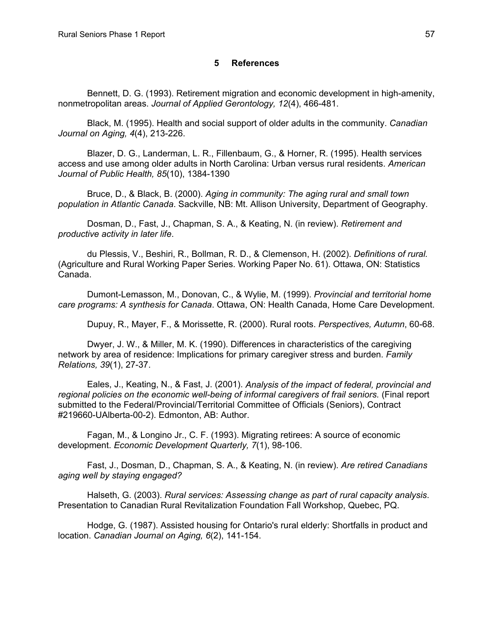#### **5 References**

Bennett, D. G. (1993). Retirement migration and economic development in high-amenit y, nonmetropolitan areas. *Journal of Applied Gerontology, 12*(4), 466-481.

Black, M. (1995). Health and social support of older adults in the community. *Canadian Journal on Aging, 4*(4), 213-226.

Blazer, D. G., Landerman, L. R., Fillenbaum, G., & Horner, R. (1995). Health service s access and use among older adults in North Carolina: Urban versus rural residents. *American Journal of Public Health, 85*(10), 1384-1390

Bruce, D., & Black, B. (2000). *Aging in community: The aging rural and small town population in Atlantic Canada*. Sackville, NB: Mt. Allison University, Department of Geography.

Dosman, D., Fast, J., Chapman, S. A., & Keating, N. (in review). *Retirement and productive activity in later life*.

du Plessis, V., Beshiri, R., Bollman, R. D., & Clemenson, H. (2002). *Definitions of rural.* (Agriculture and Rural Working Paper Series. Working Paper No. 61). Ottawa, ON: Statis tics Canada.

Dumont-Lemasson, M., Donovan, C., & Wylie, M. (1999). *Provincial and territorial home car e programs: A synthesis for Canada*. Ottawa, ON: Health Canada, Home Care Development.

Dupuy, R., Mayer, F., & Morissette, R. (2000). Rural roots. *Perspectives, Autumn*, 60-68.

Dwyer, J. W., & Miller, M. K. (1990). Differences in characteristics of the caregiving network by area of residence: Implications for primary caregiver stress and burden. *Family Relations, 39*(1), 27-37.

Eales, J., Keating, N., & Fast, J. (2001). *Analysis of the impact of federal, provincial and regional policies on the economic well-being of informal caregivers of frail seniors.* (Final report submitted to the Federal/Provincial/Territorial Committee of Officials (Seniors), Contract #219660-UAlberta-00-2). Edmonton, AB: Author.

Fagan, M., & Longino Jr., C. F. (1993). Migrating retirees: A source of economic dev elopment. *Economic Development Quarterly, 7*(1), 98-106.

Fast, J., Dosman, D., Chapman, S. A., & Keating, N. (in review). *Are retired Canadians aging well by staying engaged?*

Halseth, G. (2003). *Rural services: Assessing change as part of rural capacity analysis.* Presentation to Canadian Rural Revitalization Foundation Fall Workshop, Quebec, PQ.

Hodge, G. (1987). Assisted housing for Ontario's rural elderly: Shortfalls in product and location. *Canadian Journal on Aging, 6*(2), 141-154.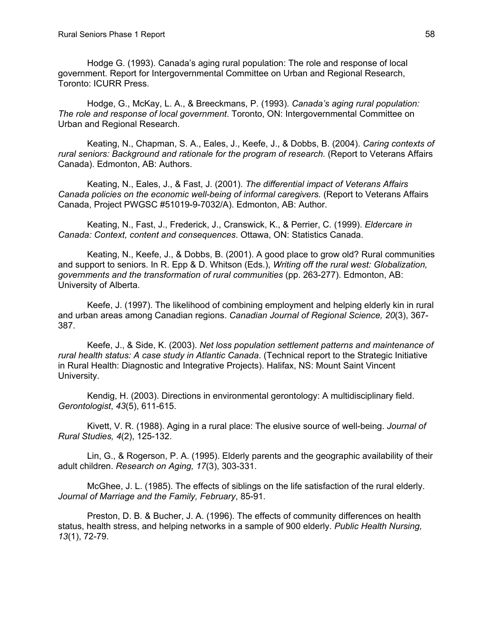Hodge G. (1993). Canada's aging rural population: The role and response of local government. Report for Intergovernmental Committee on Urban and Regional Research, Toronto: ICURR Press.

Hodge, G., McKay, L. A., & Breeckmans, P. (1993). *Canada's aging rural population: The role and response of local government*. Toronto, ON: Intergovernmental Committee on Urban and Regional Research.

rural seniors: Background and rationale for the program of research. (Report to Veterans Affairs Keating, N., Chapman, S. A., Eales, J., Keefe, J., & Dobbs, B. (2004). *Caring contexts of*  Canada). Edmonton, AB: Authors.

Keating, N., Eales, J., & Fast, J. (2001). *The differential impact of Veterans Affairs Canada policies on the economic well-being of informal caregivers.* (Report to Veterans Affairs Canada, Project PWGSC #51019-9-7032/A). Edmonton, AB: Author.

Keating, N., Fast, J., Frederick, J., Cranswick, K., & Perrier, C. (1999). *Eldercare in Canada: Context, content and consequences*. Ottawa, ON: Statistics Canada.

Keating, N., Keefe, J., & Dobbs, B. (2001). A good place to grow old? Rural communities and support to seniors. In R. Epp & D. Whitson (Eds.), *Writing off the rural west: Globalization, governments and the transformation of rural communities* (pp. 263-277). Edmonton, AB: University of Alberta.

Keefe, J. (1997). The likelihood of combining employment and helping elderly kin in rural and urban areas among Canadian regions. *Canadian Journal of Regional Science, 20*(3), 367-387.

Keefe, J., & Side, K. (2003). *Net loss population settlement patterns and maintenance of rural health status: A case study in Atlantic Canada*. (Technical report to the Strategic Initiative in R ural Health: Diagnostic and Integrative Projects). Halifax, NS: Mount Saint Vincent University.

Kendig, H. (2003). Directions in environmental gerontology: A multidisciplinary field. *Gerontologist*, *43*(5), 611-615.

Kivett, V. R. (1988). Aging in a rural place: The elusive source of well-being. *Journal of Rural Studies, 4*(2), 125-132.

Lin, G., & Rogerson, P. A. (1995). Elderly parents and the geographic availability of their adult children. *Research on Aging, 17*(3), 303-331.

McGhee, J. L. (1985). The effects of siblings on the life satisfaction of the rural elderly. Journal of Marriage and the Family, February, 85-91.

Preston, D. B. & Bucher, J. A. (1996). The effects of community differences on health status, health stress, and helping networks in a sample of 900 elderly. *Public Health Nursing, 13*(1), 72-79.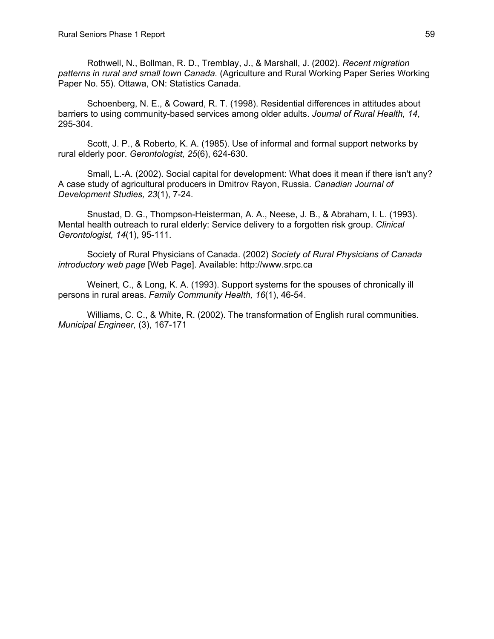Rothwell, N., Bollman, R. D., Tremblay, J., & Marshall, J. (2002). *Recent migration patterns in rural and small town Canada.* (Agriculture and Rural Working Paper Series Working Paper No. 55). Ottawa, ON: Statistics Canada.

Schoenberg, N. E., & Coward, R. T. (1998). Residential differences in attitudes about barriers to using community-based services among older adults. *Journal of Rural Health, 14*, 295-30 4.

Scott, J. P., & Roberto, K. A. (1985). Use of informal and formal support networks by rural el derly poor. *Gerontologist, 25*(6), 624-630.

Small, L.-A. (2002). Social capital for development: What does it mean if there isn't any? A case study of agricultural producers in Dmitrov Rayon, Russia. *Canadian Journal of Develo pment Studies, 23*(1), 7-24.

Snustad, D. G., Thompson-Heisterman, A. A., Neese, J. B., & Abraham, I. L. (1993). Mental health outreach to rural elderly: Service delivery to a forgotten risk group. *Clinical Gerontologist, 14*(1), 95-111.

Society of Rural Physicians of Canada. (2002) *Society of Rural Physicians of Canada introductory web page* [Web Page]. Available: http://www.srpc.ca

Weinert, C., & Long, K. A. (1993). Support systems for the spouses of chronically ill person s in rural areas. *Family Community Health, 16*(1), 46-54.

Williams, C. C., & White, R. (2002). The transformation of English rural communities. *Municip al Engineer,* (3), 167-171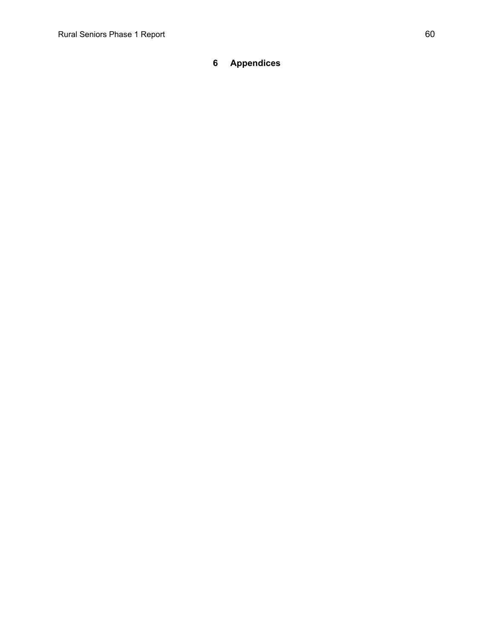# **6 Appendices**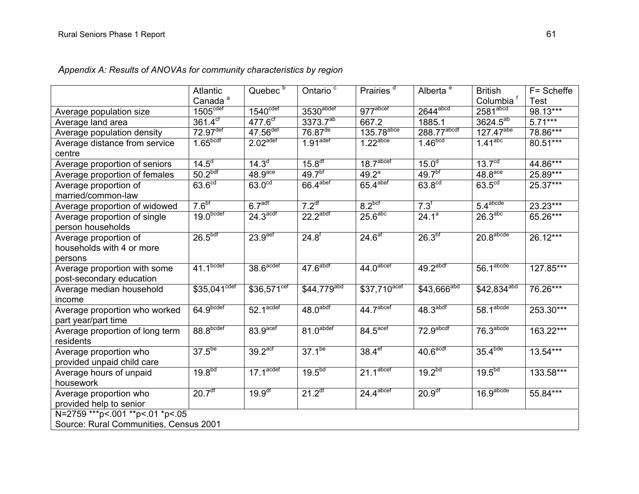|                                                               | <b>Atlantic</b>             | Quebec <sup>b</sup>            | Ontario <sup>c</sup>     | Prairies <sup>d</sup>           | Alberta <sup>e</sup>   | <b>British</b>           | F= Scheffe  |
|---------------------------------------------------------------|-----------------------------|--------------------------------|--------------------------|---------------------------------|------------------------|--------------------------|-------------|
|                                                               | Canada <sup>a</sup>         |                                |                          |                                 |                        | Columbia <sup>†</sup>    | <b>Test</b> |
| Average population size                                       | $1505^{\text{cdef}}$        | 1540 <sup>cdef</sup>           | 3530abdef                | 977 <sup>abcef</sup>            | $2644$ <sup>abcd</sup> | 2581 <sup>abcd</sup>     | 98.13***    |
| Average land area                                             | $361.\overline{4^{cf}}$     | $477.6^{cf}$                   | $3373.7^{ab}$            | 667.2                           | 1885.1                 | $3624.5^{a\overline{b}}$ | $5.71***$   |
| Average population density                                    | $72.97$ <sup>def</sup>      | $47.56$ <sup>def</sup>         | $76.87$ <sup>de</sup>    | $135.78$ <sup>abce</sup>        | 288.77abcdf            | $127.47^{abe}$           | 78.86***    |
| Average distance from service<br>centre                       | 1.65 <sup>bcdf</sup>        | $2.02$ <sup>adef</sup>         | $1.91$ <sup>adef</sup>   | $1.22$ <sup>abce</sup>          | 1.46 <sup>bcd</sup>    | $1.41$ <sup>abc</sup>    | $80.51***$  |
| Average proportion of seniors                                 | $14.5^{\circ}$              | $14.\overline{3}$ <sup>d</sup> | 15.8 <sup>df</sup>       | 18.7 <sup>abcef</sup>           | 15.0 <sup>d</sup>      | 13.7 <sup>cd</sup>       | 44.86***    |
| Average proportion of females                                 | 50.2 <sup>bdf</sup>         | 48.9 <sup>ace</sup>            | $49.7^{b}$               | $49.2^{\circ}$                  | 49.7 <sup>bf</sup>     | 48.8 <sup>ace</sup>      | 25.89***    |
| Average proportion of<br>married/common-law                   | $63.6^{\text{cd}}$          | 63.0 <sup>cd</sup>             | 66.4 <sup>abef</sup>     | 65.4 <sup>abef</sup>            | 63.8 <sup>cd</sup>     | 63.5 <sup>cd</sup>       | 25.37***    |
| Average proportion of widowed                                 | 7.6 <sup>bf</sup>           | 6.7 <sup>adt</sup>             | 7.2 <sup>df</sup>        | 8.2 <sup>bcf</sup>              | 7.3 <sup>f</sup>       | 5.4 <sup>abcde</sup>     | 23.23***    |
| Average proportion of single<br>person households             | 19.0 <sub>bcdef</sub>       | 24.3 <sup>acdf</sup>           | 22.2 <sup>abdf</sup>     | 25.6 <sup>abc</sup>             | $24.1^a$               | 26.3 <sup>abc</sup>      | 65.26***    |
| Average proportion of<br>households with 4 or more<br>persons | 26.5 <sup>bdf</sup>         | 23.9 <sup>aef</sup>            | $24.8^{f}$               | $24.\overline{6}$ <sup>af</sup> | 26.3 <sup>bf</sup>     | 20.8 <sup>abcde</sup>    | 26.12***    |
| Average proportion with some<br>post-secondary education      | 41.1 <sup>bcdef</sup>       | $38.6^\text{acdef}$            | $47.6$ abdf              | 44.0 <sup>abcdef</sup>          | 49.2 <sup>abdf</sup>   | 56.1 <sup>abcde</sup>    | 127.85***   |
| Average median household<br>income                            | $$35,041^{\overline{cdef}}$ | $$36,571^{\text{cef}}$         | $$44,779$ <sup>abd</sup> | $$37,710^{\text{acef}}$         | $$43,666^{abcd}$       | $$42,834^{abd}$          | 76.26***    |
| Average proportion who worked<br>part year/part time          | 64.9 <sub>bcdef</sub>       | $52.1$ <sup>acdef</sup>        | 48.0 <sup>abdf</sup>     | 44.7 <sup>abcef</sup>           | 48.3 <sup>abdf</sup>   | 58.1 <sup>abcde</sup>    | $253.30***$ |
| Average proportion of long term<br>residents                  | 88.8 <sup>bcdef</sup>       | 83.9 <sup>acef</sup>           | 81.0 <sup>abcdef</sup>   | $84.5^{\text{acef}}$            | 72.9 <sup>abcdf</sup>  | 76.3 <sup>abcde</sup>    | $163.22***$ |
| Average proportion who<br>provided unpaid child care          | 37.5 <sup>be</sup>          | 39.2 <sup>act</sup>            | $37.1^{be}$              | 38.4 <sup>ef</sup>              | 40.6 <sup>acdf</sup>   | 35.4 <sup>bde</sup>      | $13.54***$  |
| Average hours of unpaid<br>housework                          | 19.8 <sup>bd</sup>          | $17.1$ <sup>acdef</sup>        | $19.5^{6d}$              | 21.1 <sup>abcef</sup>           | 19.2 <sup>bd</sup>     | 19.5 <sup>bd</sup>       | $133.58***$ |
| Average proportion who<br>provided help to senior             | 20.7 <sup>df</sup>          | $19.9$ <sup>df</sup>           | $21.2$ <sup>df</sup>     | $24.4$ <sup>abcef</sup>         | 20.9 <sup>df</sup>     | 16.9 <sup>abcde</sup>    | $55.84***$  |
| N=2759 *** p <. 001 ** p <. 01 * p <. 05                      |                             |                                |                          |                                 |                        |                          |             |
| Source: Rural Communities, Census 2001                        |                             |                                |                          |                                 |                        |                          |             |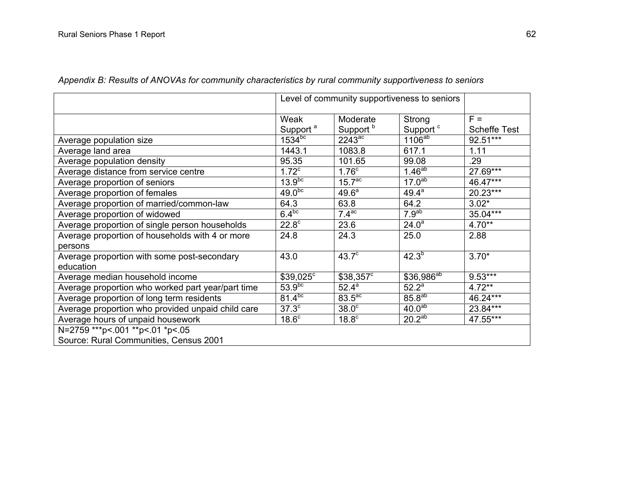|                                                   |                              | Level of community supportiveness to seniors |                                |                              |
|---------------------------------------------------|------------------------------|----------------------------------------------|--------------------------------|------------------------------|
|                                                   | Weak<br>Support <sup>a</sup> | Moderate<br>Support <sup>b</sup>             | Strong<br>Support <sup>c</sup> | $F =$<br><b>Scheffe Test</b> |
| Average population size                           | $1534^{bc}$                  | $2243$ <sup>ac</sup>                         | $1106^{ab}$                    | 92.51***                     |
| Average land area                                 | 1443.1                       | 1083.8                                       | 617.1                          | 1.11                         |
| Average population density                        | 95.35                        | 101.65                                       | 99.08                          | .29                          |
| Average distance from service centre              | 1.72 <sup>c</sup>            | 1.76 <sup>c</sup>                            | $1.46^{ab}$                    | 27.69***                     |
| Average proportion of seniors                     | 13.9 <sup>bc</sup>           | $15.7^{\circ}$                               | 17.0 <sup>ab</sup>             | 46.47***                     |
| Average proportion of females                     | 49.0 <sup>bc</sup>           | 49.6 <sup>a</sup>                            | $49.4^{a}$                     | 20.23***                     |
| Average proportion of married/common-law          | 64.3                         | 63.8                                         | 64.2                           | $3.02*$                      |
| Average proportion of widowed                     | $6.4^{bc}$                   | 7.4 <sup>ac</sup>                            | 7.9 <sup>ab</sup>              | 35.04***                     |
| Average proportion of single person households    | 22.8 <sup>c</sup>            | 23.6                                         | $24.0^a$                       | $4.70**$                     |
| Average proportion of households with 4 or more   | 24.8                         | 24.3                                         | 25.0                           | 2.88                         |
| persons                                           |                              |                                              |                                |                              |
| Average proportion with some post-secondary       | 43.0                         | $43.7^\circ$                                 | $42.3^{b}$                     | $3.70*$                      |
| education                                         |                              |                                              |                                |                              |
| Average median household income                   | $$39,025^{\circ}$            | $$38,357^{\circ}$                            | $$36,986^{ab}$                 | $9.53***$                    |
| Average proportion who worked part year/part time | 53.9 <sup>bc</sup>           | 52.4 <sup>a</sup>                            | $52.2^a$                       | $4.72**$                     |
| Average proportion of long term residents         | $81.\overline{4^{bc}}$       | $83.5$ <sup>ac</sup>                         | $85.8^{ab}$                    | 46.24***                     |
| Average proportion who provided unpaid child care | $37.3^{\circ}$               | 38.0 <sup>c</sup>                            | 40.0 <sup>ab</sup>             | 23.84***                     |
| Average hours of unpaid housework                 | 18.6 <sup>c</sup>            | 18.8 <sup>c</sup>                            | $20.\overline{2^{ab}}$         | 47.55***                     |
| N=2759 *** p <. 001 ** p <. 01 * p <. 05          |                              |                                              |                                |                              |
| Source: Rural Communities, Census 2001            |                              |                                              |                                |                              |

*Appendix B: Results of ANOVAs for community characteristics by rural community supportiveness to seniors*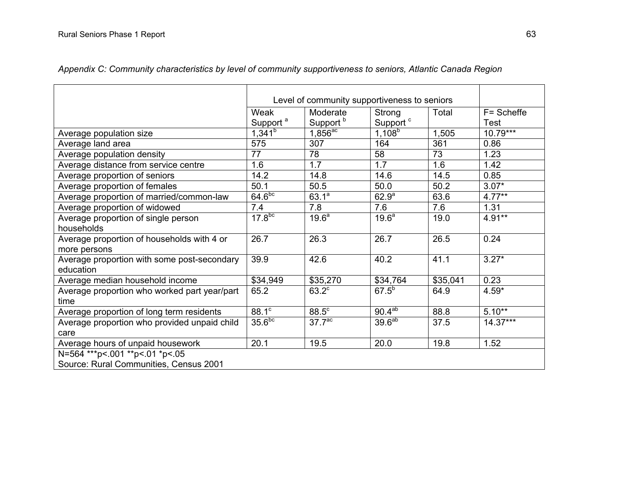|                                              |                      | Level of community supportiveness to seniors |                      |          |            |  |  |  |  |
|----------------------------------------------|----------------------|----------------------------------------------|----------------------|----------|------------|--|--|--|--|
|                                              | Weak                 | Moderate                                     | Strong               | Total    | F= Scheffe |  |  |  |  |
|                                              | Support <sup>a</sup> | Support <sup>b</sup>                         | Support <sup>c</sup> |          | Test       |  |  |  |  |
| Average population size                      | $1,341^{b}$          | $1,856^{ac}$                                 | $1,108^{6}$          | 1,505    | $10.79***$ |  |  |  |  |
| Average land area                            | 575                  | 307                                          | 164                  | 361      | 0.86       |  |  |  |  |
| Average population density                   | 77                   | 78                                           | 58                   | 73       | 1.23       |  |  |  |  |
| Average distance from service centre         | 1.6                  | 1.7                                          | 1.7                  | 1.6      | 1.42       |  |  |  |  |
| Average proportion of seniors                | 14.2                 | 14.8                                         | 14.6                 | 14.5     | 0.85       |  |  |  |  |
| Average proportion of females                | 50.1                 | 50.5                                         | 50.0                 | 50.2     | $3.07*$    |  |  |  |  |
| Average proportion of married/common-law     | 64.6 <sup>bc</sup>   | $63.1^{a}$                                   | 62.9 <sup>a</sup>    | 63.6     | $4.77**$   |  |  |  |  |
| Average proportion of widowed                | 7.4                  | 7.8                                          | 7.6                  | 7.6      | 1.31       |  |  |  |  |
| Average proportion of single person          | 17.8 <sup>bc</sup>   | 19.6 <sup>a</sup>                            | 19.6 <sup>a</sup>    | 19.0     | $4.91**$   |  |  |  |  |
| households                                   |                      |                                              |                      |          |            |  |  |  |  |
| Average proportion of households with 4 or   | 26.7                 | 26.3                                         | 26.7                 | 26.5     | 0.24       |  |  |  |  |
| more persons                                 |                      |                                              |                      |          |            |  |  |  |  |
| Average proportion with some post-secondary  | 39.9                 | 42.6                                         | 40.2                 | 41.1     | $3.27*$    |  |  |  |  |
| education                                    |                      |                                              |                      |          |            |  |  |  |  |
| Average median household income              | \$34,949             | \$35,270                                     | \$34,764             | \$35,041 | 0.23       |  |  |  |  |
| Average proportion who worked part year/part | 65.2                 | $63.2^\circ$                                 | $67.5^{b}$           | 64.9     | $4.59*$    |  |  |  |  |
| time                                         |                      |                                              |                      |          |            |  |  |  |  |
| Average proportion of long term residents    | $88.1^\circ$         | 88.5°                                        | $90.4^{ab}$          | 88.8     | $5.10**$   |  |  |  |  |
| Average proportion who provided unpaid child | 35.6 <sup>bc</sup>   | 37.7 <sup>ac</sup>                           | 39.6 <sup>ab</sup>   | 37.5     | $14.37***$ |  |  |  |  |
| care                                         |                      |                                              |                      |          |            |  |  |  |  |
| Average hours of unpaid housework            | 20.1                 | 19.5                                         | 20.0                 | 19.8     | 1.52       |  |  |  |  |
| N=564 *** p <. 001 ** p <. 01 * p <. 05      |                      |                                              |                      |          |            |  |  |  |  |
| Source: Rural Communities, Census 2001       |                      |                                              |                      |          |            |  |  |  |  |

*Appendix C: Community characteristics by level of community supportiveness to seniors, Atlantic Canada Region*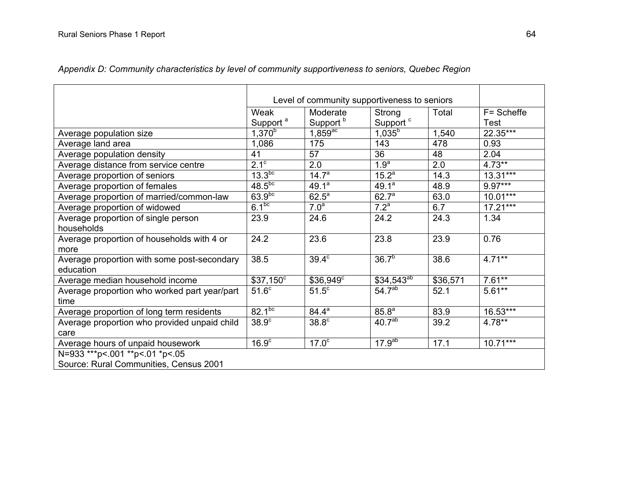|                                              |                      | Level of community supportiveness to seniors |                      |          |            |
|----------------------------------------------|----------------------|----------------------------------------------|----------------------|----------|------------|
|                                              | Weak                 | Moderate                                     | Strong               | Total    | F= Scheffe |
|                                              | Support <sup>a</sup> | Support <sup>b</sup>                         | Support <sup>c</sup> |          | Test       |
| Average population size                      | $1,370^{b}$          | $1,859$ <sup>ac</sup>                        | $1,035^{b}$          | 1,540    | 22.35***   |
| Average land area                            | 1,086                | 175                                          | 143                  | 478      | 0.93       |
| Average population density                   | 41                   | 57                                           | 36                   | 48       | 2.04       |
| Average distance from service centre         | $2.1^\circ$          | 2.0                                          | 1.9 <sup>a</sup>     | 2.0      | $4.73**$   |
| Average proportion of seniors                | 13.3 <sup>bc</sup>   | 14.7 <sup>a</sup>                            | $15.2^{a}$           | 14.3     | $13.31***$ |
| Average proportion of females                | $48.5^{bc}$          | 49.1 <sup>a</sup>                            | $49.1^a$             | 48.9     | $9.97***$  |
| Average proportion of married/common-law     | $63.9^{bc}$          | $62.5^a$                                     | 62.7 <sup>a</sup>    | 63.0     | $10.01***$ |
| Average proportion of widowed                | 6.1 <sup>bc</sup>    | 7.0 <sup>a</sup>                             | 7.2 <sup>a</sup>     | 6.7      | $17.21***$ |
| Average proportion of single person          | 23.9                 | 24.6                                         | 24.2                 | 24.3     | 1.34       |
| households                                   |                      |                                              |                      |          |            |
| Average proportion of households with 4 or   | 24.2                 | 23.6                                         | 23.8                 | 23.9     | 0.76       |
| more                                         |                      |                                              |                      |          |            |
| Average proportion with some post-secondary  | 38.5                 | $39.4^\circ$                                 | $36.7^{b}$           | 38.6     | $4.71***$  |
| education                                    |                      |                                              |                      |          |            |
| Average median household income              | $$37,150^{\circ}$    | \$36,949°                                    | $$34,543^{ab}$       | \$36,571 | $7.61**$   |
| Average proportion who worked part year/part | 51.6 <sup>c</sup>    | $51.5^\circ$                                 | 54.7 <sup>ab</sup>   | 52.1     | $5.61**$   |
| time                                         |                      |                                              |                      |          |            |
| Average proportion of long term residents    | $82.1^{bc}$          | $84.4^a$                                     | $85.8^{a}$           | 83.9     | 16.53***   |
| Average proportion who provided unpaid child | 38.9 <sup>c</sup>    | 38.8 <sup>c</sup>                            | 40.7 <sup>ab</sup>   | 39.2     | 4.78**     |
| care                                         |                      |                                              |                      |          |            |
| Average hours of unpaid housework            | 16.9 <sup>c</sup>    | 17.0 <sup>c</sup>                            | $17.9^{ab}$          | 17.1     | $10.71***$ |
| N=933 *** p <. 001 ** p <. 01 * p <. 05      |                      |                                              |                      |          |            |
| Source: Rural Communities, Census 2001       |                      |                                              |                      |          |            |

*Appendix D: Community characteristics by level of community supportiveness to seniors, Quebec Region*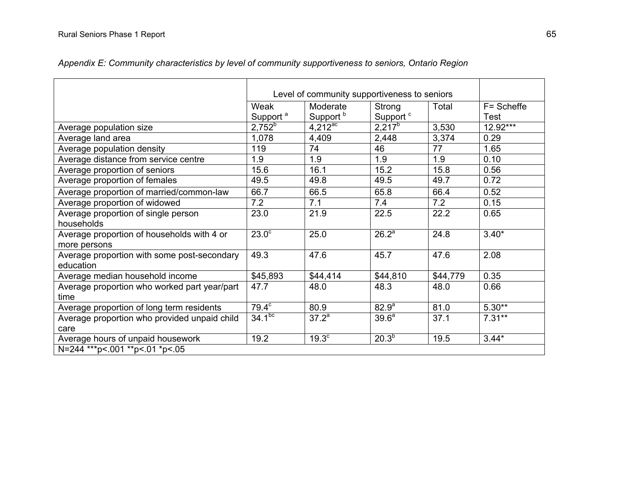|                                              |                      | Level of community supportiveness to seniors |                      |          |            |
|----------------------------------------------|----------------------|----------------------------------------------|----------------------|----------|------------|
|                                              | Weak                 | Moderate                                     | Strong               | Total    | F= Scheffe |
|                                              | Support <sup>a</sup> | Support <sup>b</sup>                         | Support <sup>c</sup> |          | Test       |
| Average population size                      | $2,752^{b}$          | $4,212^{\text{ac}}$                          | $2,217^b$            | 3,530    | $12.92***$ |
| Average land area                            | 1,078                | 4,409                                        | 2,448                | 3,374    | 0.29       |
| Average population density                   | 119                  | 74                                           | 46                   | 77       | 1.65       |
| Average distance from service centre         | 1.9                  | 1.9                                          | 1.9                  | 1.9      | 0.10       |
| Average proportion of seniors                | 15.6                 | 16.1                                         | 15.2                 | 15.8     | 0.56       |
| Average proportion of females                | 49.5                 | 49.8                                         | 49.5                 | 49.7     | 0.72       |
| Average proportion of married/common-law     | 66.7                 | 66.5                                         | 65.8                 | 66.4     | 0.52       |
| Average proportion of widowed                | 7.2                  | 7.1                                          | 7.4                  | 7.2      | 0.15       |
| Average proportion of single person          | 23.0                 | 21.9                                         | 22.5                 | 22.2     | 0.65       |
| households                                   |                      |                                              |                      |          |            |
| Average proportion of households with 4 or   | $23.0^\circ$         | 25.0                                         | 26.2 <sup>a</sup>    | 24.8     | $3.40*$    |
| more persons                                 |                      |                                              |                      |          |            |
| Average proportion with some post-secondary  | 49.3                 | 47.6                                         | 45.7                 | 47.6     | 2.08       |
| education                                    |                      |                                              |                      |          |            |
| Average median household income              | \$45,893             | \$44,414                                     | \$44,810             | \$44,779 | 0.35       |
| Average proportion who worked part year/part | 47.7                 | 48.0                                         | 48.3                 | 48.0     | 0.66       |
| time                                         |                      |                                              |                      |          |            |
| Average proportion of long term residents    | $79.4^\circ$         | 80.9                                         | 82.9 <sup>a</sup>    | 81.0     | $5.30**$   |
| Average proportion who provided unpaid child | $34.1^{bc}$          | $37.2^a$                                     | 39.6 <sup>a</sup>    | 37.1     | $7.31**$   |
| care                                         |                      |                                              |                      |          |            |
| Average hours of unpaid housework            | 19.2                 | $19.3^\circ$                                 | $20.3^{5}$           | 19.5     | $3.44*$    |
| N=244 *** p <. 001 ** p <. 01 * p <. 05      |                      |                                              |                      |          |            |

*Appendix E: Community characteristics by level of community supportiveness to seniors, Ontario Region*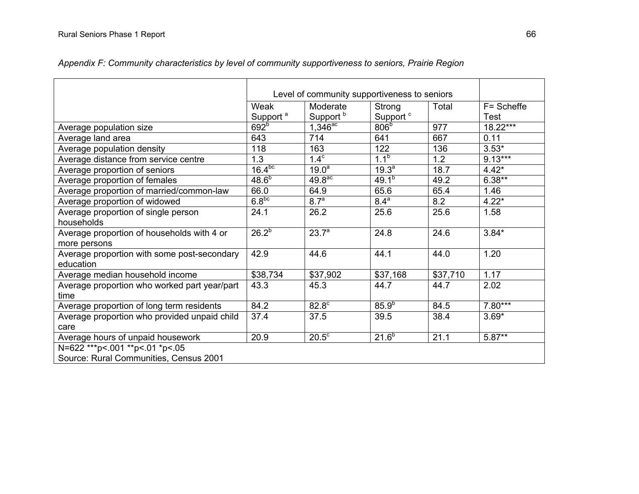|                                                            | Level of community supportiveness to seniors |                                  |                                |          |                           |
|------------------------------------------------------------|----------------------------------------------|----------------------------------|--------------------------------|----------|---------------------------|
|                                                            | Weak<br>Support <sup>a</sup>                 | Moderate<br>Support <sup>b</sup> | Strong<br>Support <sup>c</sup> | Total    | F= Scheffe<br><b>Test</b> |
| Average population size                                    | 692 <sup>b</sup>                             | $1,346^{ac}$                     | 806 <sup>b</sup>               | 977      | $18.22***$                |
| Average land area                                          | 643                                          | 714                              | 641                            | 667      | 0.11                      |
| Average population density                                 | 118                                          | 163                              | 122                            | 136      | $3.53*$                   |
| Average distance from service centre                       | 1.3                                          | $1.4^\circ$                      | $1.1^{b}$                      | 1.2      | $9.13***$                 |
| Average proportion of seniors                              | $16.4^{bc}$                                  | 19.0 <sup>a</sup>                | $19.3^{a}$                     | 18.7     | $4.42*$                   |
| Average proportion of females                              | $48.6^{b}$                                   | 49.8 <sup>ac</sup>               | $49.1^{b}$                     | 49.2     | $6.38**$                  |
| Average proportion of married/common-law                   | 66.0                                         | 64.9                             | 65.6                           | 65.4     | 1.46                      |
| Average proportion of widowed                              | 6.8 <sup>bc</sup>                            | 8.7 <sup>a</sup>                 | $8.4^a$                        | 8.2      | $4.22*$                   |
| Average proportion of single person                        | 24.1                                         | 26.2                             | 25.6                           | 25.6     | 1.58                      |
| households                                                 |                                              |                                  |                                |          |                           |
| Average proportion of households with 4 or<br>more persons | $26.2^{b}$                                   | $23.7^{a}$                       | 24.8                           | 24.6     | $3.84*$                   |
| Average proportion with some post-secondary<br>education   | 42.9                                         | 44.6                             | 44.1                           | 44.0     | 1.20                      |
| Average median household income                            | \$38,734                                     | \$37,902                         | \$37,168                       | \$37,710 | 1.17                      |
| Average proportion who worked part year/part               | 43.3                                         | 45.3                             | 44.7                           | 44.7     | 2.02                      |
| time                                                       |                                              |                                  |                                |          |                           |
| Average proportion of long term residents                  | 84.2                                         | 82.8°                            | $85.9^{b}$                     | 84.5     | $7.80***$                 |
| Average proportion who provided unpaid child               | 37.4                                         | 37.5                             | 39.5                           | 38.4     | $3.69*$                   |
| care                                                       |                                              |                                  |                                |          |                           |
| Average hours of unpaid housework                          | 20.9                                         | $20.5^{\circ}$                   | $21.6^{b}$                     | 21.1     | $5.87**$                  |
| N=622 *** p <. 001 ** p <. 01 * p <. 05                    |                                              |                                  |                                |          |                           |
| Source: Rural Communities, Census 2001                     |                                              |                                  |                                |          |                           |

*Appendix F: Community characteristics by level of community supportiveness to seniors, Prairie Region*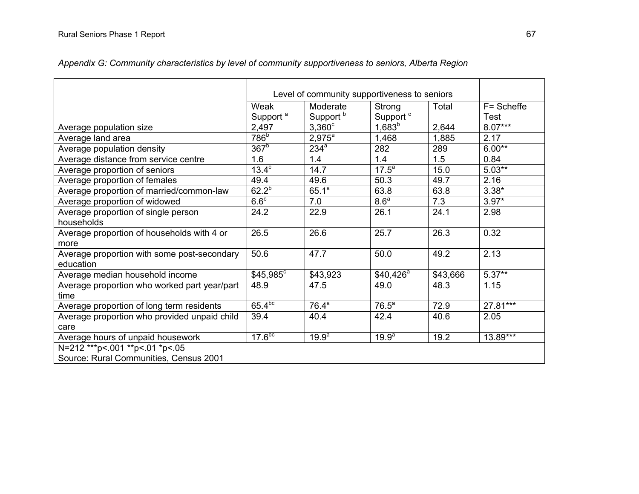|                                              |                      | Level of community supportiveness to seniors |                      |          |            |  |  |  |  |
|----------------------------------------------|----------------------|----------------------------------------------|----------------------|----------|------------|--|--|--|--|
|                                              | Weak                 | Moderate                                     | Strong               | Total    | F= Scheffe |  |  |  |  |
|                                              | Support <sup>a</sup> | Support <sup>b</sup>                         | Support <sup>c</sup> |          | Test       |  |  |  |  |
| Average population size                      | 2,497                | $3,360^\circ$                                | $1,683^{b}$          | 2,644    | $8.07***$  |  |  |  |  |
| Average land area                            | 786 <sup>b</sup>     | $2,975^{\circ}$                              | 1,468                | 1,885    | 2.17       |  |  |  |  |
| Average population density                   | $367^{\circ}$        | $234^a$                                      | 282                  | 289      | $6.00**$   |  |  |  |  |
| Average distance from service centre         | 1.6                  | 1.4                                          | 1.4                  | 1.5      | 0.84       |  |  |  |  |
| Average proportion of seniors                | $13.\overline{4^c}$  | 14.7                                         | $17.5^a$             | 15.0     | $5.03**$   |  |  |  |  |
| Average proportion of females                | 49.4                 | 49.6                                         | 50.3                 | 49.7     | 2.16       |  |  |  |  |
| Average proportion of married/common-law     | $62.2^{b}$           | $65.1^a$                                     | 63.8                 | 63.8     | $3.38*$    |  |  |  |  |
| Average proportion of widowed                | 6.6 <sup>c</sup>     | 7.0                                          | 8.6 <sup>a</sup>     | 7.3      | $3.97*$    |  |  |  |  |
| Average proportion of single person          | 24.2                 | 22.9                                         | 26.1                 | 24.1     | 2.98       |  |  |  |  |
| households                                   |                      |                                              |                      |          |            |  |  |  |  |
| Average proportion of households with 4 or   | 26.5                 | 26.6                                         | 25.7                 | 26.3     | 0.32       |  |  |  |  |
| more                                         |                      |                                              |                      |          |            |  |  |  |  |
| Average proportion with some post-secondary  | 50.6                 | 47.7                                         | 50.0                 | 49.2     | 2.13       |  |  |  |  |
| education                                    |                      |                                              |                      |          |            |  |  |  |  |
| Average median household income              | \$45,985°            | \$43,923                                     | $$40,426^a$          | \$43,666 | $5.37**$   |  |  |  |  |
| Average proportion who worked part year/part | 48.9                 | 47.5                                         | 49.0                 | 48.3     | 1.15       |  |  |  |  |
| time                                         |                      |                                              |                      |          |            |  |  |  |  |
| Average proportion of long term residents    | $65.4^{bc}$          | $76.4^a$                                     | 76.5 <sup>a</sup>    | 72.9     | 27.81***   |  |  |  |  |
| Average proportion who provided unpaid child | 39.4                 | 40.4                                         | 42.4                 | 40.6     | 2.05       |  |  |  |  |
| care                                         |                      |                                              |                      |          |            |  |  |  |  |
| Average hours of unpaid housework            | 17.6 <sup>bc</sup>   | 19.9 <sup>a</sup>                            | 19.9 <sup>a</sup>    | 19.2     | 13.89***   |  |  |  |  |
| N=212 *** p <. 001 ** p <. 01 * p <. 05      |                      |                                              |                      |          |            |  |  |  |  |
| Source: Rural Communities, Census 2001       |                      |                                              |                      |          |            |  |  |  |  |

*Appendix G: Community characteristics by level of community supportiveness to seniors, Alberta Region*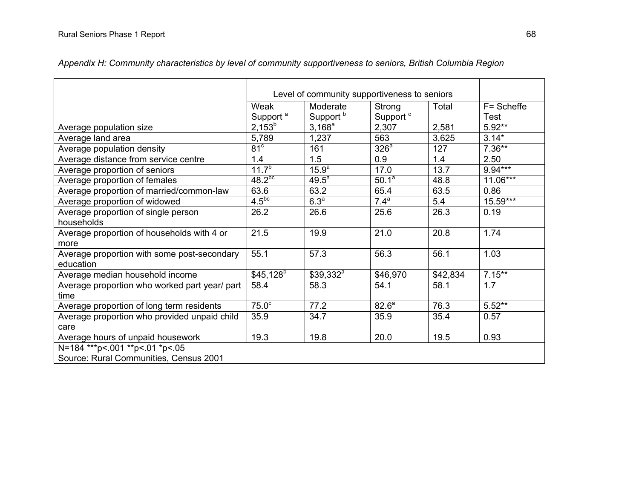|                                               | Level of community supportiveness to seniors |                      |                       |          |            |
|-----------------------------------------------|----------------------------------------------|----------------------|-----------------------|----------|------------|
|                                               | Weak                                         | Moderate             | Strong                | Total    | F= Scheffe |
|                                               | Support <sup>a</sup>                         | Support <sup>b</sup> | Support <sup>c</sup>  |          | Test       |
| Average population size                       | $2,153^{b}$                                  | $3,168^a$            | 2,307                 | 2,581    | $5.92**$   |
| Average land area                             | 5,789                                        | 1,237                | 563                   | 3,625    | $3.14*$    |
| Average population density                    | 81 <sup>c</sup>                              | 161                  | 326 <sup>a</sup>      | 127      | $7.36**$   |
| Average distance from service centre          | 1.4                                          | 1.5                  | 0.9                   | 1.4      | 2.50       |
| Average proportion of seniors                 | $11.7^{b}$                                   | 15.9 <sup>a</sup>    | 17.0                  | 13.7     | $9.94***$  |
| Average proportion of females                 | $48.2^{bc}$                                  | 49.5 <sup>a</sup>    | $50.1^{\overline{a}}$ | 48.8     | $11.06***$ |
| Average proportion of married/common-law      | 63.6                                         | 63.2                 | 65.4                  | 63.5     | 0.86       |
| Average proportion of widowed                 | $4.5^{bc}$                                   | 6.3 <sup>a</sup>     | 7.4 <sup>a</sup>      | 5.4      | $15.59***$ |
| Average proportion of single person           | 26.2                                         | 26.6                 | 25.6                  | 26.3     | 0.19       |
| households                                    |                                              |                      |                       |          |            |
| Average proportion of households with 4 or    | 21.5                                         | 19.9                 | 21.0                  | 20.8     | 1.74       |
| more                                          |                                              |                      |                       |          |            |
| Average proportion with some post-secondary   | 55.1                                         | 57.3                 | 56.3                  | 56.1     | 1.03       |
| education                                     |                                              |                      |                       |          |            |
| Average median household income               | $$45,128$ <sup>b</sup>                       | $$39,332^a$          | \$46,970              | \$42,834 | $7.15***$  |
| Average proportion who worked part year/ part | 58.4                                         | 58.3                 | 54.1                  | 58.1     | 1.7        |
| time                                          |                                              |                      |                       |          |            |
| Average proportion of long term residents     | 75.0 <sup>c</sup>                            | 77.2                 | 82.6 <sup>a</sup>     | 76.3     | $5.52**$   |
| Average proportion who provided unpaid child  | 35.9                                         | 34.7                 | 35.9                  | 35.4     | 0.57       |
| care                                          |                                              |                      |                       |          |            |
| Average hours of unpaid housework             | 19.3                                         | 19.8                 | 20.0                  | 19.5     | 0.93       |
| N=184 *** p <. 001 ** p <. 01 * p <. 05       |                                              |                      |                       |          |            |
| Source: Rural Communities, Census 2001        |                                              |                      |                       |          |            |

*Appendix H: Community characteristics by level of community supportiveness to seniors, British Columbia Region*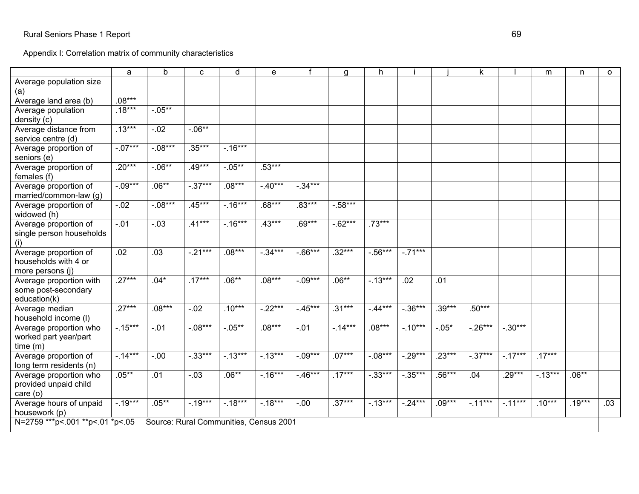Appendix I: Correlation matrix of community characteristics

|                                                 | a         | b                                      | C          | d         | e         |            | a          | h          |            |          | k.         |           | m        | n        | $\circ$ |
|-------------------------------------------------|-----------|----------------------------------------|------------|-----------|-----------|------------|------------|------------|------------|----------|------------|-----------|----------|----------|---------|
| Average population size<br>(a)                  |           |                                        |            |           |           |            |            |            |            |          |            |           |          |          |         |
| Average land area (b)                           | $.08***$  |                                        |            |           |           |            |            |            |            |          |            |           |          |          |         |
| Average population                              | $.18***$  | $-.05**$                               |            |           |           |            |            |            |            |          |            |           |          |          |         |
| density (c)                                     |           |                                        |            |           |           |            |            |            |            |          |            |           |          |          |         |
| Average distance from                           | $.13***$  | $-0.02$                                | $-06**$    |           |           |            |            |            |            |          |            |           |          |          |         |
| service centre (d)                              |           |                                        |            |           |           |            |            |            |            |          |            |           |          |          |         |
| Average proportion of<br>seniors (e)            | $-.07***$ | $-.08***$                              | $.35***$   | $-16***$  |           |            |            |            |            |          |            |           |          |          |         |
| Average proportion of<br>females (f)            | $.20***$  | $-.06**$                               | $.49***$   | $-05**$   | $.53***$  |            |            |            |            |          |            |           |          |          |         |
| Average proportion of                           | $-09***$  | $.06**$                                | $-0.37***$ | $.08***$  | $-40***$  | $-.34***$  |            |            |            |          |            |           |          |          |         |
| married/common-law (g)                          |           |                                        |            |           |           |            |            |            |            |          |            |           |          |          |         |
| Average proportion of<br>widowed (h)            | $-.02$    | $-.08***$                              | $.45***$   | $-.16***$ | $.68***$  | $.83***$   | $-.58***$  |            |            |          |            |           |          |          |         |
| Average proportion of                           | $-01$     | $-.03$                                 | $.41***$   | $-16***$  | $.43***$  | $.69***$   | $-0.62***$ | $.73***$   |            |          |            |           |          |          |         |
| single person households                        |           |                                        |            |           |           |            |            |            |            |          |            |           |          |          |         |
| (i)                                             |           |                                        |            |           |           |            |            |            |            |          |            |           |          |          |         |
| Average proportion of                           | .02       | .03                                    | $-.21***$  | $.08***$  | $-.34***$ | $-0.66***$ | $.32***$   | $-.56***$  | $-.71***$  |          |            |           |          |          |         |
| households with 4 or                            |           |                                        |            |           |           |            |            |            |            |          |            |           |          |          |         |
| more persons (j)                                |           |                                        |            |           |           |            |            |            |            |          |            |           |          |          |         |
| Average proportion with                         | $.27***$  | $.04*$                                 | $.17***$   | $.06**$   | $.08***$  | $-.09***$  | $.06**$    | $-13***$   | .02        | .01      |            |           |          |          |         |
| some post-secondary                             |           |                                        |            |           |           |            |            |            |            |          |            |           |          |          |         |
| education(k)                                    |           |                                        |            |           |           |            |            |            |            |          |            |           |          |          |         |
| Average median                                  | $.27***$  | $.08***$                               | $-.02$     | $.10***$  | $-22***$  | $-0.45***$ | $.31***$   | $-44***$   | $-0.36***$ | $.39***$ | $.50***$   |           |          |          |         |
| household income (I)                            |           |                                        |            |           |           |            |            |            |            |          |            |           |          |          |         |
| Average proportion who                          | $-15***$  | $-.01$                                 | $-08***$   | $-0.05**$ | $.08***$  | $-01$      | $-14***$   | $.08***$   | $-10***$   | $-.05*$  | $-0.26***$ | $-.30***$ |          |          |         |
| worked part year/part                           |           |                                        |            |           |           |            |            |            |            |          |            |           |          |          |         |
| time (m)                                        | $-14***$  | $-0.00$                                | $-.33***$  | $-13***$  | $-13***$  | $-0.09***$ | $.07***$   | $-08***$   | $-0.29***$ | $.23***$ | $-0.37***$ | $-17***$  | $.17***$ |          |         |
| Average proportion of                           |           |                                        |            |           |           |            |            |            |            |          |            |           |          |          |         |
| long term residents (n)                         | $.05***$  | .01                                    | $-.03$     | $.06**$   | $-16***$  | $-46***$   | $.17***$   | $-0.33***$ | $-0.35***$ | $.56***$ | .04        | $.29***$  | $-13***$ | $.06**$  |         |
| Average proportion who<br>provided unpaid child |           |                                        |            |           |           |            |            |            |            |          |            |           |          |          |         |
| care (o)                                        |           |                                        |            |           |           |            |            |            |            |          |            |           |          |          |         |
| Average hours of unpaid                         | $-19***$  | $.05***$                               | $-19***$   | $-18***$  | $-18***$  | $-0.00$    | $.37***$   | $-13***$   | $-24***$   | $.09***$ | $-11***$   | $-11***$  | $.10***$ | $.19***$ | .03     |
| housework (p)                                   |           |                                        |            |           |           |            |            |            |            |          |            |           |          |          |         |
| N=2759 ***p<.001 **p<.01 *p<.05                 |           | Source: Rural Communities, Census 2001 |            |           |           |            |            |            |            |          |            |           |          |          |         |
|                                                 |           |                                        |            |           |           |            |            |            |            |          |            |           |          |          |         |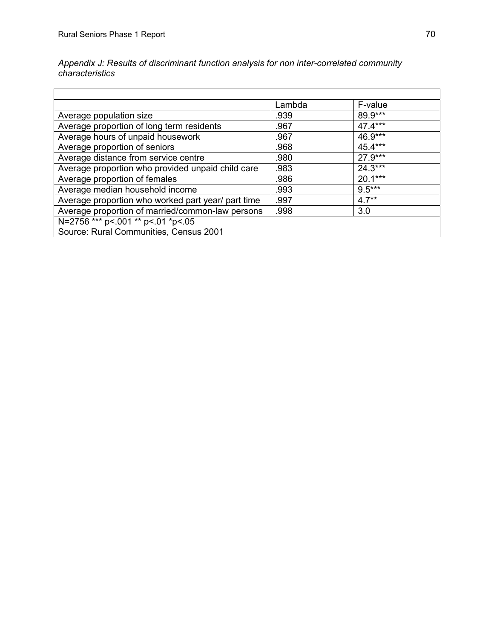Appendix J: Results of discriminant function analysis for non inter-correlated community characteristics

|                                                    | Lambda | F-value   |
|----------------------------------------------------|--------|-----------|
| Average population size                            | .939   | 89.9***   |
| Average proportion of long term residents          | .967   | 47.4***   |
| Average hours of unpaid housework                  | .967   | $46.9***$ |
| Average proportion of seniors                      | .968   | 45.4***   |
| Average distance from service centre               | .980   | $27.9***$ |
| Average proportion who provided unpaid child care  | .983   | $24.3***$ |
| Average proportion of females                      | .986   | $20.1***$ |
| Average median household income                    | .993   | $9.5***$  |
| Average proportion who worked part year/ part time | .997   | $4.7**$   |
| Average proportion of married/common-law persons   | .998   | 3.0       |
| N=2756 *** p<.001 ** p<.01 *p<.05                  |        |           |
| Source: Rural Communities, Census 2001             |        |           |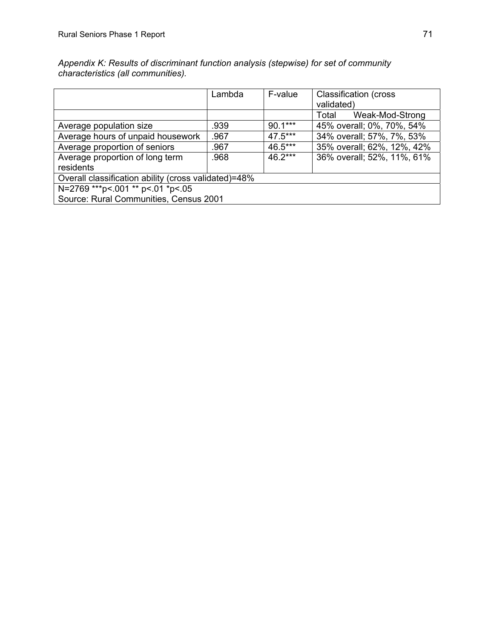|                                                      | Lambda | F-value   | <b>Classification (cross)</b> |  |
|------------------------------------------------------|--------|-----------|-------------------------------|--|
|                                                      |        |           | validated)                    |  |
|                                                      |        |           | Total<br>Weak-Mod-Strong      |  |
| Average population size                              | .939   | $90.1***$ | 45% overall; 0%, 70%, 54%     |  |
| Average hours of unpaid housework                    | .967   | $47.5***$ | 34% overall; 57%, 7%, 53%     |  |
| Average proportion of seniors                        | .967   | 46.5***   | 35% overall; 62%, 12%, 42%    |  |
| Average proportion of long term                      | .968   | $46.2***$ | 36% overall; 52%, 11%, 61%    |  |
| residents                                            |        |           |                               |  |
| Overall classification ability (cross validated)=48% |        |           |                               |  |
| N=2769 *** p < .001 ** p < .01 * p < .05             |        |           |                               |  |
| Source: Rural Communities, Census 2001               |        |           |                               |  |

Appendix K: Results of discriminant function analysis (stepwise) for set of community *characteristics (all communities). un*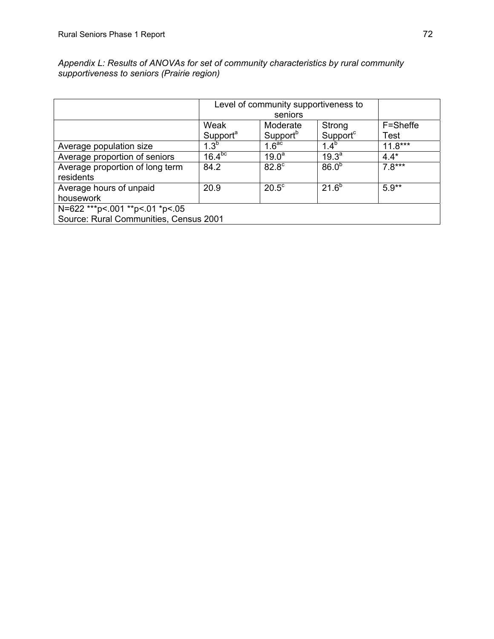|                                            | Appendix L: Results of ANOVAs for set of community characteristics by rural community |
|--------------------------------------------|---------------------------------------------------------------------------------------|
| supportiveness to seniors (Prairie region) |                                                                                       |

|                                              | Level of community supportiveness to<br>seniors |                      |                      |             |
|----------------------------------------------|-------------------------------------------------|----------------------|----------------------|-------------|
|                                              | Weak                                            | Moderate             | Strong               | F=Sheffe    |
|                                              | Support <sup>a</sup>                            | Support <sup>b</sup> | Support <sup>c</sup> | <b>Test</b> |
| Average population size                      | $1.3^{b}$                                       | 1.6 <sup>ac</sup>    | $1.4^{b}$            | $11.8***$   |
| Average proportion of seniors                | $16.4^{bc}$                                     | $19.0^a$             | $19.3^{\circ}$       | $4.4*$      |
| Average proportion of long term<br>residents | 84.2                                            | 82.8 <sup>c</sup>    | 86.0 <sup>b</sup>    | $7.8***$    |
| Average hours of unpaid                      | 20.9                                            | $20.5^{\circ}$       | $21.6^{b}$           | $5.9**$     |
| housework                                    |                                                 |                      |                      |             |
| N=622 *** p <. 001 ** p <. 01 * p <. 05      |                                                 |                      |                      |             |
| Source: Rural Communities, Census 2001       |                                                 |                      |                      |             |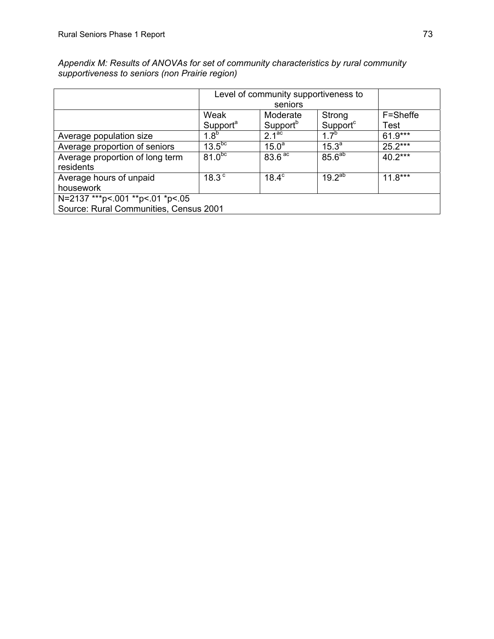|                                                                             | Level of community supportiveness to<br>seniors |                                  |                                |                  |
|-----------------------------------------------------------------------------|-------------------------------------------------|----------------------------------|--------------------------------|------------------|
|                                                                             | Weak<br>Support <sup>a</sup>                    | Moderate<br>Support <sup>b</sup> | Strong<br>Support <sup>c</sup> | F=Sheffe<br>Test |
| Average population size                                                     | $1.8^{b}$                                       | 2.1 <sup>ac</sup>                | $1.7^{b}$                      | 61.9***          |
| Average proportion of seniors                                               | 13.5 <sup>bc</sup>                              | $15.0^a$                         | $15.3^{a}$                     | $25.2***$        |
| Average proportion of long term<br>residents                                | 81.0 <sup>bc</sup>                              | 83.6 <sup>ac</sup>               | 85.6 <sup>ab</sup>             | $40.2***$        |
| Average hours of unpaid<br>housework                                        | 18.3 <sup>c</sup>                               | $18.4^\circ$                     | $19.2^{ab}$                    | $11.8***$        |
| N=2137 *** p< 001 ** p< 01 *p< 05<br>Source: Rural Communities, Census 2001 |                                                 |                                  |                                |                  |

Appendix M: Results of ANOVAs for set of community characteristics by rural community *supportiveness to seniors (non Pra irie region)*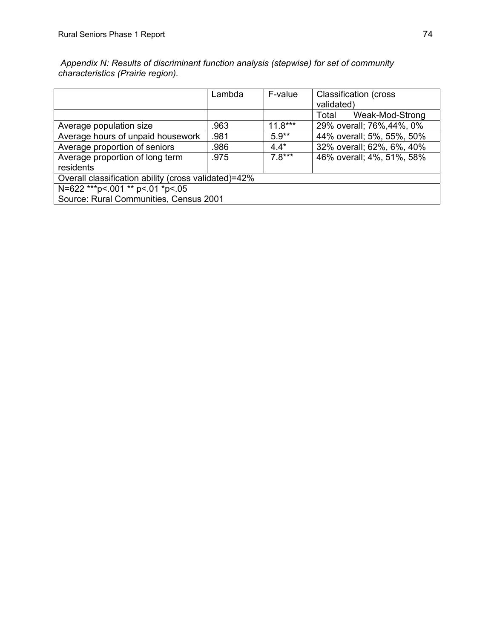|                                                      | Lambda | F-value   | <b>Classification (cross</b><br>validated) |  |
|------------------------------------------------------|--------|-----------|--------------------------------------------|--|
|                                                      |        |           | Total<br>Weak-Mod-Strong                   |  |
| Average population size                              | .963   | $11.8***$ | 29% overall; 76%, 44%, 0%                  |  |
| Average hours of unpaid housework                    | .981   | $5.9**$   | 44% overall; 5%, 55%, 50%                  |  |
| Average proportion of seniors                        | .986   | $4.4*$    | 32% overall; 62%, 6%, 40%                  |  |
| Average proportion of long term<br>residents         | .975   | $7.8***$  | 46% overall; 4%, 51%, 58%                  |  |
| Overall classification ability (cross validated)=42% |        |           |                                            |  |
| N=622 *** p < 001 ** p < 01 * p < 05                 |        |           |                                            |  |
| Source: Rural Communities, Census 2001               |        |           |                                            |  |

 *Appendix N: Results of discriminant function analysis (stepwise) for set of community characteristics (Prairie region).*